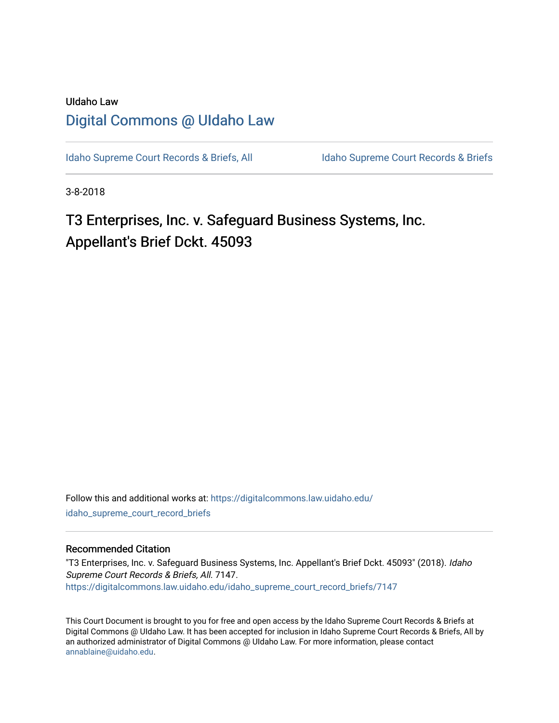# UIdaho Law [Digital Commons @ UIdaho Law](https://digitalcommons.law.uidaho.edu/)

[Idaho Supreme Court Records & Briefs, All](https://digitalcommons.law.uidaho.edu/idaho_supreme_court_record_briefs) Idaho Supreme Court Records & Briefs

3-8-2018

T3 Enterprises, Inc. v. Safeguard Business Systems, Inc. Appellant's Brief Dckt. 45093

Follow this and additional works at: [https://digitalcommons.law.uidaho.edu/](https://digitalcommons.law.uidaho.edu/idaho_supreme_court_record_briefs?utm_source=digitalcommons.law.uidaho.edu%2Fidaho_supreme_court_record_briefs%2F7147&utm_medium=PDF&utm_campaign=PDFCoverPages) [idaho\\_supreme\\_court\\_record\\_briefs](https://digitalcommons.law.uidaho.edu/idaho_supreme_court_record_briefs?utm_source=digitalcommons.law.uidaho.edu%2Fidaho_supreme_court_record_briefs%2F7147&utm_medium=PDF&utm_campaign=PDFCoverPages) 

# Recommended Citation

"T3 Enterprises, Inc. v. Safeguard Business Systems, Inc. Appellant's Brief Dckt. 45093" (2018). Idaho Supreme Court Records & Briefs, All. 7147. [https://digitalcommons.law.uidaho.edu/idaho\\_supreme\\_court\\_record\\_briefs/7147](https://digitalcommons.law.uidaho.edu/idaho_supreme_court_record_briefs/7147?utm_source=digitalcommons.law.uidaho.edu%2Fidaho_supreme_court_record_briefs%2F7147&utm_medium=PDF&utm_campaign=PDFCoverPages)

This Court Document is brought to you for free and open access by the Idaho Supreme Court Records & Briefs at Digital Commons @ UIdaho Law. It has been accepted for inclusion in Idaho Supreme Court Records & Briefs, All by an authorized administrator of Digital Commons @ UIdaho Law. For more information, please contact [annablaine@uidaho.edu](mailto:annablaine@uidaho.edu).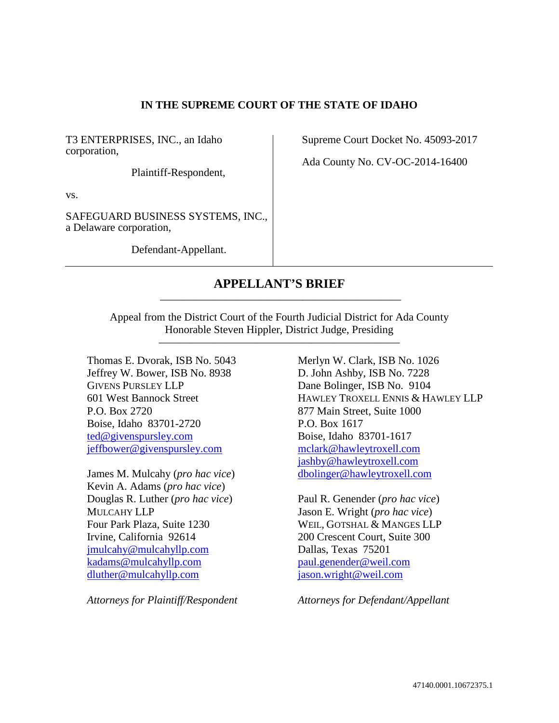# **IN THE SUPREME COURT OF THE STATE OF IDAHO**

T3 ENTERPRISES, INC., an Idaho corporation,

Plaintiff-Respondent,

vs.

SAFEGUARD BUSINESS SYSTEMS, INC., a Delaware corporation,

Defendant-Appellant.

Supreme Court Docket No. 45093-2017

Ada County No. CV-OC-2014-16400

# **APPELLANT'S BRIEF** ——————————————————————

Appeal from the District Court of the Fourth Judicial District for Ada County Honorable Steven Hippler, District Judge, Presiding

——————————————————————

Thomas E. Dvorak, ISB No. 5043 Jeffrey W. Bower, ISB No. 8938 GIVENS PURSLEY LLP 601 West Bannock Street P.O. Box 2720 Boise, Idaho 83701-2720 ted@givenspursley.com jeffbower@givenspursley.com

James M. Mulcahy (*pro hac vice*) Kevin A. Adams (*pro hac vice*) Douglas R. Luther (*pro hac vice*) MULCAHY LLP Four Park Plaza, Suite 1230 Irvine, California 92614 jmulcahy@mulcahyllp.com kadams@mulcahyllp.com dluther@mulcahyllp.com

*Attorneys for Plaintiff/Respondent* 

Merlyn W. Clark, ISB No. 1026 D. John Ashby, ISB No. 7228 Dane Bolinger, ISB No. 9104 HAWLEY TROXELL ENNIS & HAWLEY LLP 877 Main Street, Suite 1000 P.O. Box 1617 Boise, Idaho 83701-1617 mclark@hawleytroxell.com jashby@hawleytroxell.com dbolinger@hawleytroxell.com

Paul R. Genender (*pro hac vice*) Jason E. Wright (*pro hac vice*) WEIL, GOTSHAL & MANGES LLP 200 Crescent Court, Suite 300 Dallas, Texas 75201 paul.genender@weil.com jason.wright@weil.com

*Attorneys for Defendant/Appellant*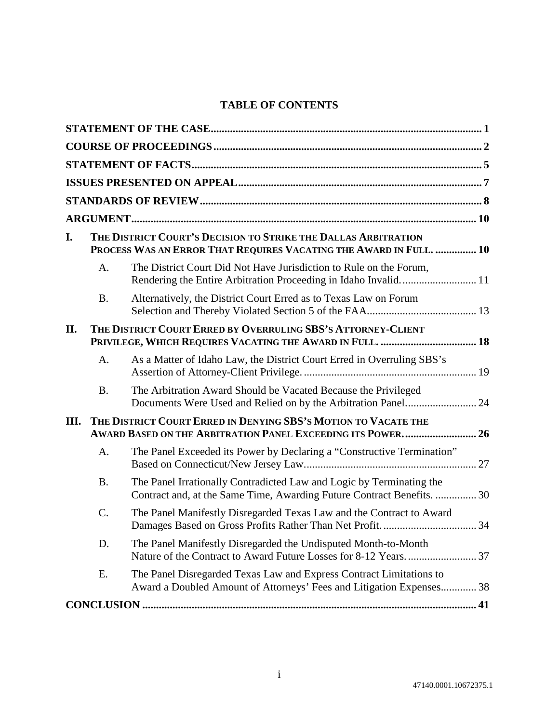# **TABLE OF CONTENTS**

| I.   |           | THE DISTRICT COURT'S DECISION TO STRIKE THE DALLAS ARBITRATION<br>PROCESS WAS AN ERROR THAT REQUIRES VACATING THE AWARD IN FULL.  10           |  |  |  |  |
|------|-----------|------------------------------------------------------------------------------------------------------------------------------------------------|--|--|--|--|
|      | A.        | The District Court Did Not Have Jurisdiction to Rule on the Forum,                                                                             |  |  |  |  |
|      | <b>B.</b> | Alternatively, the District Court Erred as to Texas Law on Forum                                                                               |  |  |  |  |
| II.  |           | THE DISTRICT COURT ERRED BY OVERRULING SBS'S ATTORNEY-CLIENT                                                                                   |  |  |  |  |
|      | A.        | As a Matter of Idaho Law, the District Court Erred in Overruling SBS's                                                                         |  |  |  |  |
|      | <b>B.</b> | The Arbitration Award Should be Vacated Because the Privileged                                                                                 |  |  |  |  |
| III. |           | THE DISTRICT COURT ERRED IN DENYING SBS'S MOTION TO VACATE THE<br>AWARD BASED ON THE ARBITRATION PANEL EXCEEDING ITS POWER 26                  |  |  |  |  |
|      | A.        | The Panel Exceeded its Power by Declaring a "Constructive Termination"                                                                         |  |  |  |  |
|      | <b>B.</b> | The Panel Irrationally Contradicted Law and Logic by Terminating the<br>Contract and, at the Same Time, Awarding Future Contract Benefits.  30 |  |  |  |  |
|      | C.        | The Panel Manifestly Disregarded Texas Law and the Contract to Award                                                                           |  |  |  |  |
|      | D.        | The Panel Manifestly Disregarded the Undisputed Month-to-Month                                                                                 |  |  |  |  |
|      | Ε.        | The Panel Disregarded Texas Law and Express Contract Limitations to<br>Award a Doubled Amount of Attorneys' Fees and Litigation Expenses 38    |  |  |  |  |
|      |           |                                                                                                                                                |  |  |  |  |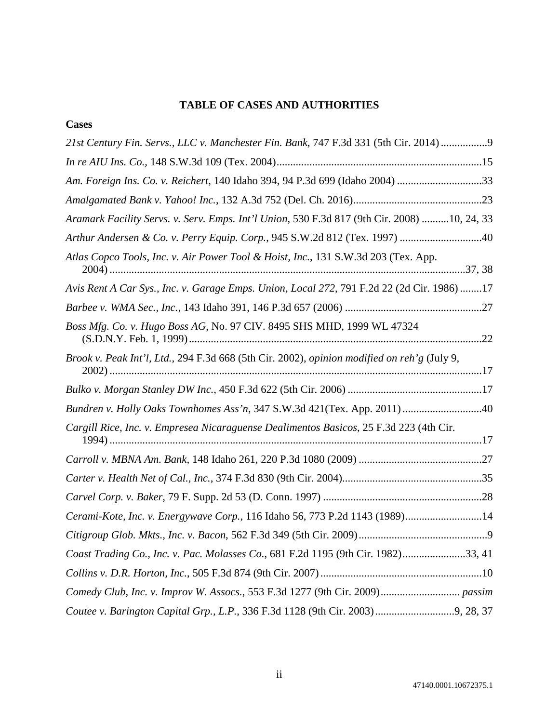# **TABLE OF CASES AND AUTHORITIES**

# **Cases**

| 21st Century Fin. Servs., LLC v. Manchester Fin. Bank, 747 F.3d 331 (5th Cir. 2014) 9       |
|---------------------------------------------------------------------------------------------|
|                                                                                             |
| Am. Foreign Ins. Co. v. Reichert, 140 Idaho 394, 94 P.3d 699 (Idaho 2004) 33                |
|                                                                                             |
| Aramark Facility Servs. v. Serv. Emps. Int'l Union, 530 F.3d 817 (9th Cir. 2008) 10, 24, 33 |
| Arthur Andersen & Co. v. Perry Equip. Corp., 945 S.W.2d 812 (Tex. 1997) 40                  |
| Atlas Copco Tools, Inc. v. Air Power Tool & Hoist, Inc., 131 S.W.3d 203 (Tex. App.          |
| Avis Rent A Car Sys., Inc. v. Garage Emps. Union, Local 272, 791 F.2d 22 (2d Cir. 1986) 17  |
|                                                                                             |
| Boss Mfg. Co. v. Hugo Boss AG, No. 97 CIV. 8495 SHS MHD, 1999 WL 47324                      |
| Brook v. Peak Int'l, Ltd., 294 F.3d 668 (5th Cir. 2002), opinion modified on reh'g (July 9, |
|                                                                                             |
| Bundren v. Holly Oaks Townhomes Ass'n, 347 S.W.3d 421(Tex. App. 2011)40                     |
| Cargill Rice, Inc. v. Empresea Nicaraguense Dealimentos Basicos, 25 F.3d 223 (4th Cir.      |
|                                                                                             |
|                                                                                             |
|                                                                                             |
| Cerami-Kote, Inc. v. Energywave Corp., 116 Idaho 56, 773 P.2d 1143 (1989)14                 |
|                                                                                             |
| Coast Trading Co., Inc. v. Pac. Molasses Co., 681 F.2d 1195 (9th Cir. 1982)33, 41           |
|                                                                                             |
|                                                                                             |
|                                                                                             |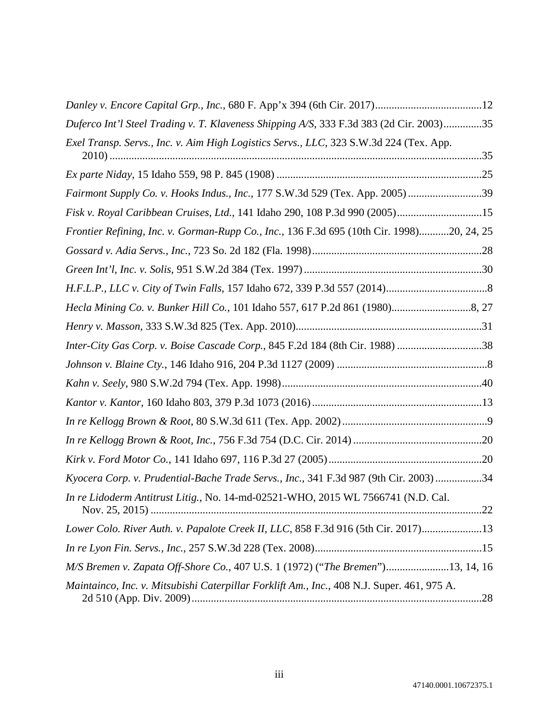| Duferco Int'l Steel Trading v. T. Klaveness Shipping A/S, 333 F.3d 383 (2d Cir. 2003)35    |  |
|--------------------------------------------------------------------------------------------|--|
| Exel Transp. Servs., Inc. v. Aim High Logistics Servs., LLC, 323 S.W.3d 224 (Tex. App.     |  |
|                                                                                            |  |
| Fairmont Supply Co. v. Hooks Indus., Inc., 177 S.W.3d 529 (Tex. App. 2005) 39              |  |
| Fisk v. Royal Caribbean Cruises, Ltd., 141 Idaho 290, 108 P.3d 990 (2005)15                |  |
| Frontier Refining, Inc. v. Gorman-Rupp Co., Inc., 136 F.3d 695 (10th Cir. 1998)20, 24, 25  |  |
|                                                                                            |  |
|                                                                                            |  |
|                                                                                            |  |
|                                                                                            |  |
|                                                                                            |  |
| Inter-City Gas Corp. v. Boise Cascade Corp., 845 F.2d 184 (8th Cir. 1988) 38               |  |
|                                                                                            |  |
|                                                                                            |  |
|                                                                                            |  |
|                                                                                            |  |
|                                                                                            |  |
|                                                                                            |  |
| Kyocera Corp. v. Prudential-Bache Trade Servs., Inc., 341 F.3d 987 (9th Cir. 2003) 34      |  |
| In re Lidoderm Antitrust Litig., No. 14-md-02521-WHO, 2015 WL 7566741 (N.D. Cal.           |  |
| Lower Colo. River Auth. v. Papalote Creek II, LLC, 858 F.3d 916 (5th Cir. 2017)13          |  |
|                                                                                            |  |
| M/S Bremen v. Zapata Off-Shore Co., 407 U.S. 1 (1972) ("The Bremen")13, 14, 16             |  |
| Maintainco, Inc. v. Mitsubishi Caterpillar Forklift Am., Inc., 408 N.J. Super. 461, 975 A. |  |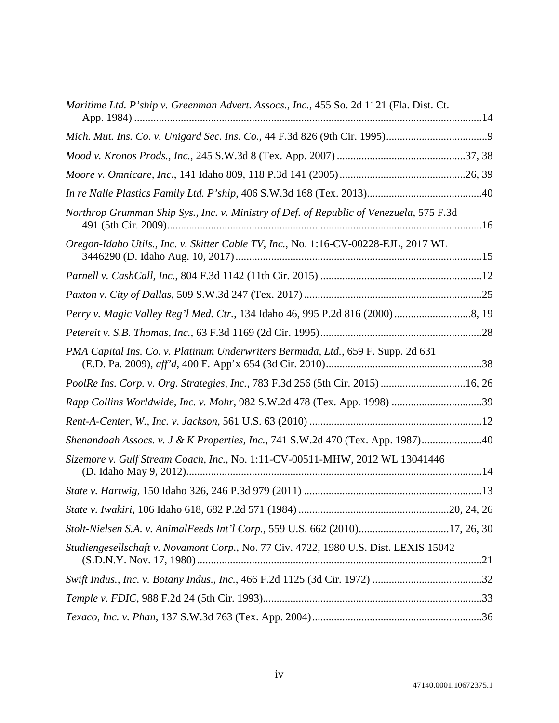| Maritime Ltd. P'ship v. Greenman Advert. Assocs., Inc., 455 So. 2d 1121 (Fla. Dist. Ct. |
|-----------------------------------------------------------------------------------------|
|                                                                                         |
|                                                                                         |
|                                                                                         |
|                                                                                         |
| Northrop Grumman Ship Sys., Inc. v. Ministry of Def. of Republic of Venezuela, 575 F.3d |
| Oregon-Idaho Utils., Inc. v. Skitter Cable TV, Inc., No. 1:16-CV-00228-EJL, 2017 WL     |
|                                                                                         |
|                                                                                         |
|                                                                                         |
|                                                                                         |
| PMA Capital Ins. Co. v. Platinum Underwriters Bermuda, Ltd., 659 F. Supp. 2d 631        |
| PoolRe Ins. Corp. v. Org. Strategies, Inc., 783 F.3d 256 (5th Cir. 2015) 16, 26         |
| Rapp Collins Worldwide, Inc. v. Mohr, 982 S.W.2d 478 (Tex. App. 1998) 39                |
|                                                                                         |
| Shenandoah Assocs. v. J & K Properties, Inc., 741 S.W.2d 470 (Tex. App. 1987)40         |
| Sizemore v. Gulf Stream Coach, Inc., No. 1:11-CV-00511-MHW, 2012 WL 13041446            |
|                                                                                         |
|                                                                                         |
| Stolt-Nielsen S.A. v. AnimalFeeds Int'l Corp., 559 U.S. 662 (2010)17, 26, 30            |
| Studiengesellschaft v. Novamont Corp., No. 77 Civ. 4722, 1980 U.S. Dist. LEXIS 15042    |
|                                                                                         |
|                                                                                         |
|                                                                                         |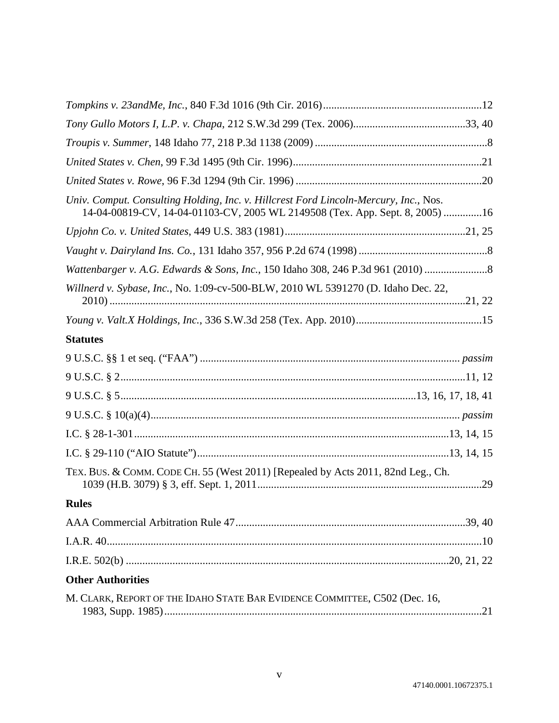| Univ. Comput. Consulting Holding, Inc. v. Hillcrest Ford Lincoln-Mercury, Inc., Nos.<br>14-04-00819-CV, 14-04-01103-CV, 2005 WL 2149508 (Tex. App. Sept. 8, 2005) 16 |
|----------------------------------------------------------------------------------------------------------------------------------------------------------------------|
|                                                                                                                                                                      |
|                                                                                                                                                                      |
| Wattenbarger v. A.G. Edwards & Sons, Inc., 150 Idaho 308, 246 P.3d 961 (2010)                                                                                        |
| Willnerd v. Sybase, Inc., No. 1:09-cv-500-BLW, 2010 WL 5391270 (D. Idaho Dec. 22,                                                                                    |
|                                                                                                                                                                      |
| <b>Statutes</b>                                                                                                                                                      |
|                                                                                                                                                                      |
|                                                                                                                                                                      |
|                                                                                                                                                                      |
|                                                                                                                                                                      |
|                                                                                                                                                                      |
|                                                                                                                                                                      |
| TEX. BUS. & COMM. CODE CH. 55 (West 2011) [Repealed by Acts 2011, 82nd Leg., Ch.                                                                                     |
| <b>Rules</b>                                                                                                                                                         |
|                                                                                                                                                                      |
|                                                                                                                                                                      |
|                                                                                                                                                                      |
| <b>Other Authorities</b>                                                                                                                                             |
| M. CLARK, REPORT OF THE IDAHO STATE BAR EVIDENCE COMMITTEE, C502 (Dec. 16,                                                                                           |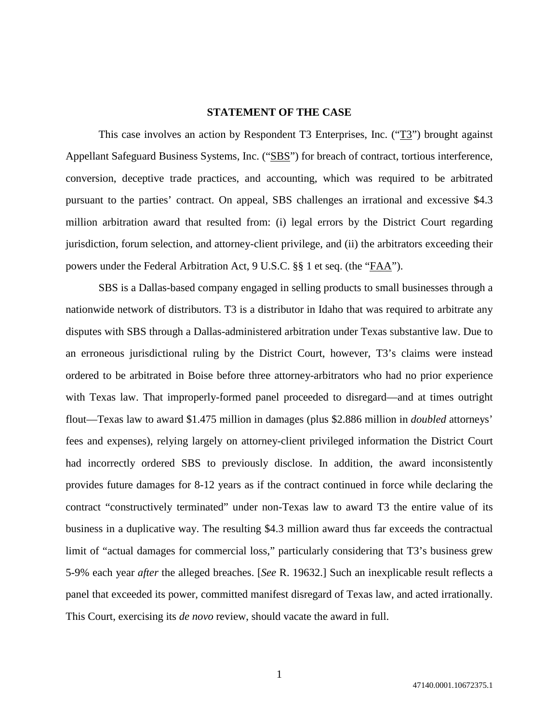#### **STATEMENT OF THE CASE**

This case involves an action by Respondent T3 Enterprises, Inc. (" $T3$ ") brought against Appellant Safeguard Business Systems, Inc. ("SBS") for breach of contract, tortious interference, conversion, deceptive trade practices, and accounting, which was required to be arbitrated pursuant to the parties' contract. On appeal, SBS challenges an irrational and excessive \$4.3 million arbitration award that resulted from: (i) legal errors by the District Court regarding jurisdiction, forum selection, and attorney-client privilege, and (ii) the arbitrators exceeding their powers under the Federal Arbitration Act, 9 U.S.C. §§ 1 et seq. (the "FAA").

SBS is a Dallas-based company engaged in selling products to small businesses through a nationwide network of distributors. T3 is a distributor in Idaho that was required to arbitrate any disputes with SBS through a Dallas-administered arbitration under Texas substantive law. Due to an erroneous jurisdictional ruling by the District Court, however, T3's claims were instead ordered to be arbitrated in Boise before three attorney-arbitrators who had no prior experience with Texas law. That improperly-formed panel proceeded to disregard—and at times outright flout—Texas law to award \$1.475 million in damages (plus \$2.886 million in *doubled* attorneys' fees and expenses), relying largely on attorney-client privileged information the District Court had incorrectly ordered SBS to previously disclose. In addition, the award inconsistently provides future damages for 8-12 years as if the contract continued in force while declaring the contract "constructively terminated" under non-Texas law to award T3 the entire value of its business in a duplicative way. The resulting \$4.3 million award thus far exceeds the contractual limit of "actual damages for commercial loss," particularly considering that T3's business grew 5-9% each year *after* the alleged breaches. [*See* R. 19632.] Such an inexplicable result reflects a panel that exceeded its power, committed manifest disregard of Texas law, and acted irrationally. This Court, exercising its *de novo* review, should vacate the award in full.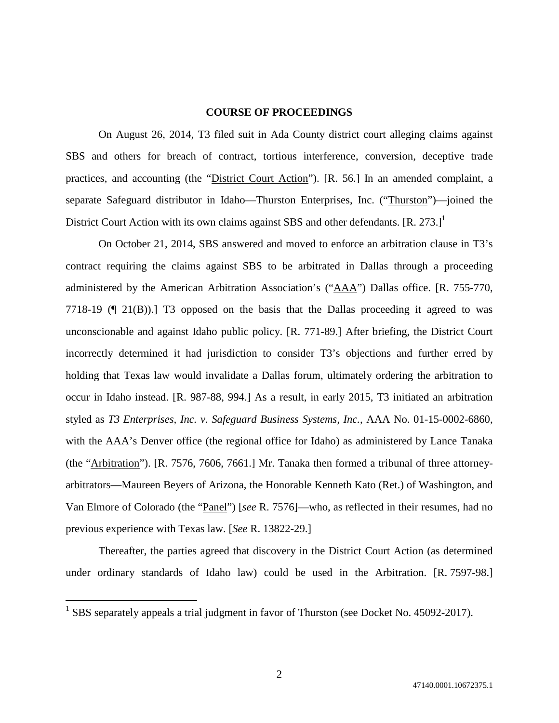#### **COURSE OF PROCEEDINGS**

On August 26, 2014, T3 filed suit in Ada County district court alleging claims against SBS and others for breach of contract, tortious interference, conversion, deceptive trade practices, and accounting (the "District Court Action"). [R. 56.] In an amended complaint, a separate Safeguard distributor in Idaho—Thurston Enterprises, Inc. ("Thurston")—joined the District Court Action with its own claims against SBS and other defendants. [R. 273.]<sup>1</sup>

On October 21, 2014, SBS answered and moved to enforce an arbitration clause in T3's contract requiring the claims against SBS to be arbitrated in Dallas through a proceeding administered by the American Arbitration Association's ("AAA") Dallas office. [R. 755-770, 7718-19 (¶ 21(B)).] T3 opposed on the basis that the Dallas proceeding it agreed to was unconscionable and against Idaho public policy. [R. 771-89.] After briefing, the District Court incorrectly determined it had jurisdiction to consider T3's objections and further erred by holding that Texas law would invalidate a Dallas forum, ultimately ordering the arbitration to occur in Idaho instead. [R. 987-88, 994.] As a result, in early 2015, T3 initiated an arbitration styled as *T3 Enterprises, Inc. v. Safeguard Business Systems, Inc.*, AAA No. 01-15-0002-6860, with the AAA's Denver office (the regional office for Idaho) as administered by Lance Tanaka (the "Arbitration"). [R. 7576, 7606, 7661.] Mr. Tanaka then formed a tribunal of three attorneyarbitrators—Maureen Beyers of Arizona, the Honorable Kenneth Kato (Ret.) of Washington, and Van Elmore of Colorado (the "Panel") [*see* R. 7576]—who, as reflected in their resumes, had no previous experience with Texas law. [*See* R. 13822-29.]

Thereafter, the parties agreed that discovery in the District Court Action (as determined under ordinary standards of Idaho law) could be used in the Arbitration. [R. 7597-98.]

<sup>&</sup>lt;sup>1</sup> SBS separately appeals a trial judgment in favor of Thurston (see Docket No. 45092-2017).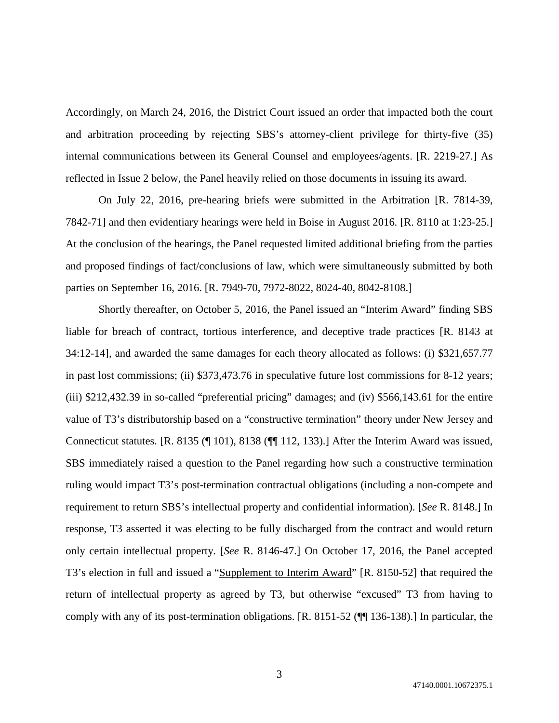Accordingly, on March 24, 2016, the District Court issued an order that impacted both the court and arbitration proceeding by rejecting SBS's attorney-client privilege for thirty-five (35) internal communications between its General Counsel and employees/agents. [R. 2219-27.] As reflected in Issue 2 below, the Panel heavily relied on those documents in issuing its award.

On July 22, 2016, pre-hearing briefs were submitted in the Arbitration [R. 7814-39, 7842-71] and then evidentiary hearings were held in Boise in August 2016. [R. 8110 at 1:23-25.] At the conclusion of the hearings, the Panel requested limited additional briefing from the parties and proposed findings of fact/conclusions of law, which were simultaneously submitted by both parties on September 16, 2016. [R. 7949-70, 7972-8022, 8024-40, 8042-8108.]

Shortly thereafter, on October 5, 2016, the Panel issued an "Interim Award" finding SBS liable for breach of contract, tortious interference, and deceptive trade practices [R. 8143 at 34:12-14], and awarded the same damages for each theory allocated as follows: (i) \$321,657.77 in past lost commissions; (ii) \$373,473.76 in speculative future lost commissions for 8-12 years; (iii) \$212,432.39 in so-called "preferential pricing" damages; and (iv) \$566,143.61 for the entire value of T3's distributorship based on a "constructive termination" theory under New Jersey and Connecticut statutes. [R. 8135 (¶ 101), 8138 (¶¶ 112, 133).] After the Interim Award was issued, SBS immediately raised a question to the Panel regarding how such a constructive termination ruling would impact T3's post-termination contractual obligations (including a non-compete and requirement to return SBS's intellectual property and confidential information). [*See* R. 8148.] In response, T3 asserted it was electing to be fully discharged from the contract and would return only certain intellectual property. [*See* R. 8146-47.] On October 17, 2016, the Panel accepted T3's election in full and issued a "Supplement to Interim Award" [R. 8150-52] that required the return of intellectual property as agreed by T3, but otherwise "excused" T3 from having to comply with any of its post-termination obligations. [R. 8151-52 (¶¶ 136-138).] In particular, the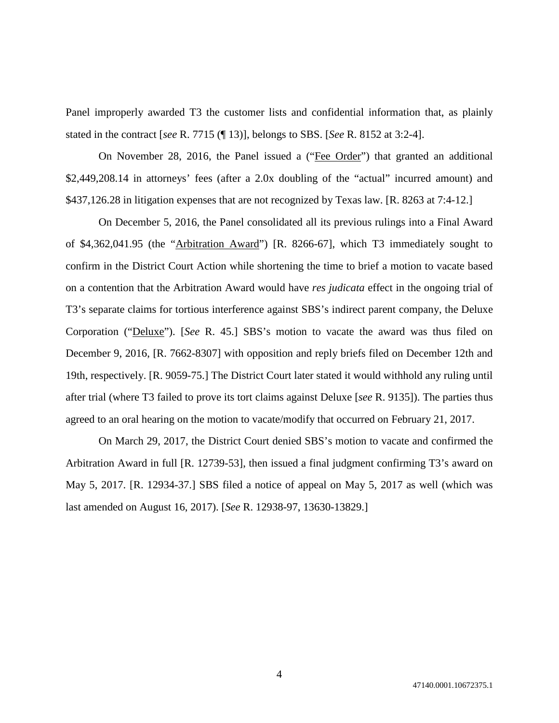Panel improperly awarded T3 the customer lists and confidential information that, as plainly stated in the contract [*see* R. 7715 (¶ 13)], belongs to SBS. [*See* R. 8152 at 3:2-4].

On November 28, 2016, the Panel issued a ("Fee Order") that granted an additional \$2,449,208.14 in attorneys' fees (after a 2.0x doubling of the "actual" incurred amount) and \$437,126.28 in litigation expenses that are not recognized by Texas law. [R. 8263 at 7:4-12.]

On December 5, 2016, the Panel consolidated all its previous rulings into a Final Award of \$4,362,041.95 (the "Arbitration Award") [R. 8266-67], which T3 immediately sought to confirm in the District Court Action while shortening the time to brief a motion to vacate based on a contention that the Arbitration Award would have *res judicata* effect in the ongoing trial of T3's separate claims for tortious interference against SBS's indirect parent company, the Deluxe Corporation ("Deluxe"). [*See* R. 45.] SBS's motion to vacate the award was thus filed on December 9, 2016, [R. 7662-8307] with opposition and reply briefs filed on December 12th and 19th, respectively. [R. 9059-75.] The District Court later stated it would withhold any ruling until after trial (where T3 failed to prove its tort claims against Deluxe [*see* R. 9135]). The parties thus agreed to an oral hearing on the motion to vacate/modify that occurred on February 21, 2017.

On March 29, 2017, the District Court denied SBS's motion to vacate and confirmed the Arbitration Award in full [R. 12739-53], then issued a final judgment confirming T3's award on May 5, 2017. [R. 12934-37.] SBS filed a notice of appeal on May 5, 2017 as well (which was last amended on August 16, 2017). [*See* R. 12938-97, 13630-13829.]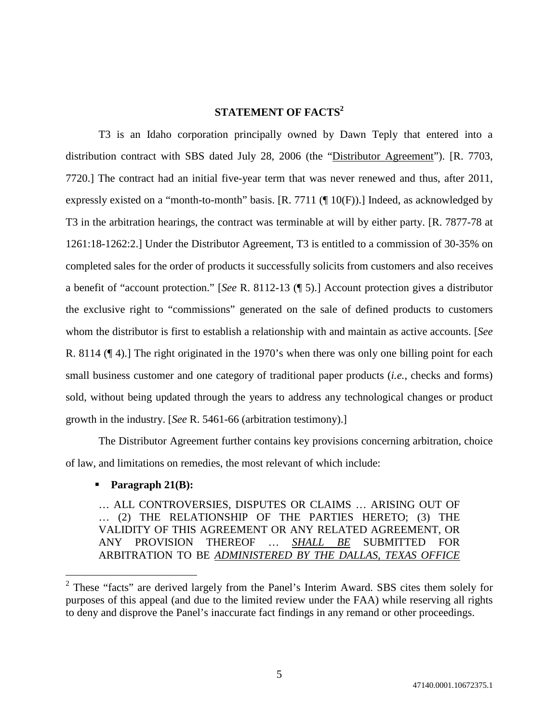# **STATEMENT OF FACTS<sup>2</sup>**

T3 is an Idaho corporation principally owned by Dawn Teply that entered into a distribution contract with SBS dated July 28, 2006 (the "Distributor Agreement"). [R. 7703, 7720.] The contract had an initial five-year term that was never renewed and thus, after 2011, expressly existed on a "month-to-month" basis. [R. 7711 (¶ 10(F)).] Indeed, as acknowledged by T3 in the arbitration hearings, the contract was terminable at will by either party. [R. 7877-78 at 1261:18-1262:2.] Under the Distributor Agreement, T3 is entitled to a commission of 30-35% on completed sales for the order of products it successfully solicits from customers and also receives a benefit of "account protection." [*See* R. 8112-13 (¶ 5).] Account protection gives a distributor the exclusive right to "commissions" generated on the sale of defined products to customers whom the distributor is first to establish a relationship with and maintain as active accounts. [*See* R. 8114 (¶ 4).] The right originated in the 1970's when there was only one billing point for each small business customer and one category of traditional paper products (*i.e.*, checks and forms) sold, without being updated through the years to address any technological changes or product growth in the industry. [*See* R. 5461-66 (arbitration testimony).]

The Distributor Agreement further contains key provisions concerning arbitration, choice of law, and limitations on remedies, the most relevant of which include:

# **Paragraph 21(B):**

… ALL CONTROVERSIES, DISPUTES OR CLAIMS … ARISING OUT OF … (2) THE RELATIONSHIP OF THE PARTIES HERETO; (3) THE VALIDITY OF THIS AGREEMENT OR ANY RELATED AGREEMENT, OR ANY PROVISION THEREOF … *SHALL BE* SUBMITTED FOR ARBITRATION TO BE *ADMINISTERED BY THE DALLAS, TEXAS OFFICE*

 $2$  These "facts" are derived largely from the Panel's Interim Award. SBS cites them solely for purposes of this appeal (and due to the limited review under the FAA) while reserving all rights to deny and disprove the Panel's inaccurate fact findings in any remand or other proceedings.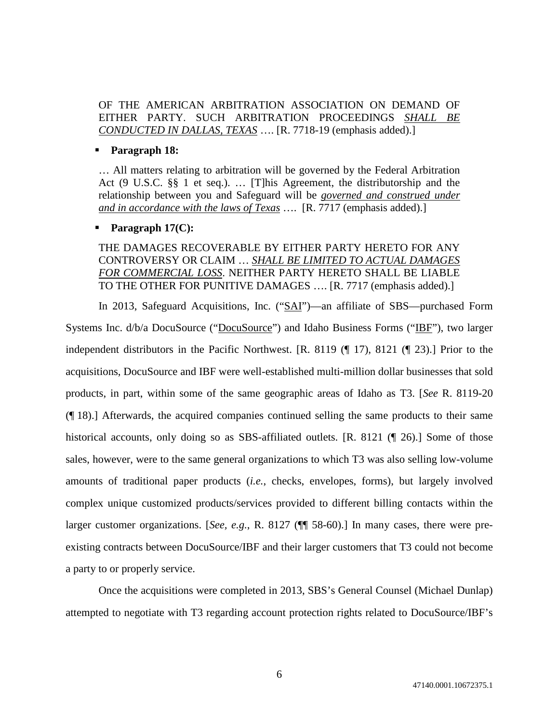OF THE AMERICAN ARBITRATION ASSOCIATION ON DEMAND OF EITHER PARTY. SUCH ARBITRATION PROCEEDINGS *SHALL BE CONDUCTED IN DALLAS, TEXAS* …. [R. 7718-19 (emphasis added).]

#### **Paragraph 18:**

… All matters relating to arbitration will be governed by the Federal Arbitration Act (9 U.S.C. §§ 1 et seq.). … [T]his Agreement, the distributorship and the relationship between you and Safeguard will be *governed and construed under and in accordance with the laws of Texas* …. [R. 7717 (emphasis added).]

## **Paragraph 17(C):**

# THE DAMAGES RECOVERABLE BY EITHER PARTY HERETO FOR ANY CONTROVERSY OR CLAIM … *SHALL BE LIMITED TO ACTUAL DAMAGES FOR COMMERCIAL LOSS*. NEITHER PARTY HERETO SHALL BE LIABLE TO THE OTHER FOR PUNITIVE DAMAGES …. [R. 7717 (emphasis added).]

In 2013, Safeguard Acquisitions, Inc. ("SAI")—an affiliate of SBS—purchased Form Systems Inc. d/b/a DocuSource ("DocuSource") and Idaho Business Forms ("IBF"), two larger independent distributors in the Pacific Northwest. [R. 8119 (¶ 17), 8121 (¶ 23).] Prior to the acquisitions, DocuSource and IBF were well-established multi-million dollar businesses that sold products, in part, within some of the same geographic areas of Idaho as T3. [*See* R. 8119-20 (¶ 18).] Afterwards, the acquired companies continued selling the same products to their same historical accounts, only doing so as SBS-affiliated outlets. [R. 8121 (1 26).] Some of those sales, however, were to the same general organizations to which T3 was also selling low-volume amounts of traditional paper products (*i.e.*, checks, envelopes, forms), but largely involved complex unique customized products/services provided to different billing contacts within the larger customer organizations. [*See, e.g.*, R. 8127 (¶¶ 58-60).] In many cases, there were preexisting contracts between DocuSource/IBF and their larger customers that T3 could not become a party to or properly service.

Once the acquisitions were completed in 2013, SBS's General Counsel (Michael Dunlap) attempted to negotiate with T3 regarding account protection rights related to DocuSource/IBF's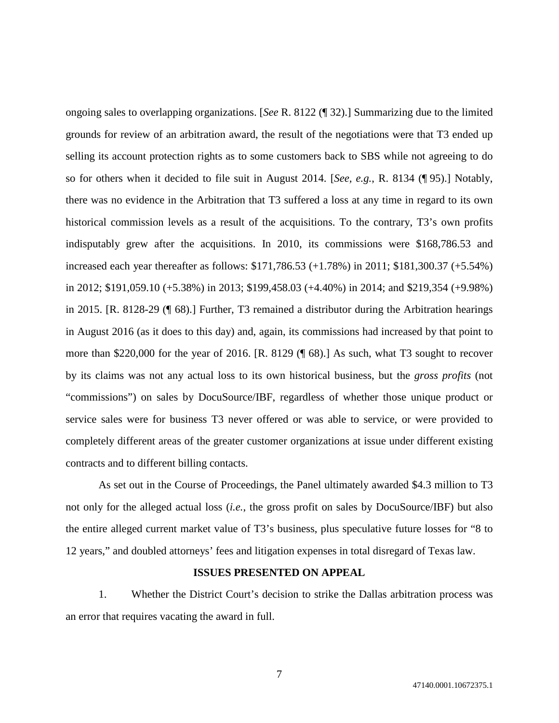ongoing sales to overlapping organizations. [*See* R. 8122 (¶ 32).] Summarizing due to the limited grounds for review of an arbitration award, the result of the negotiations were that T3 ended up selling its account protection rights as to some customers back to SBS while not agreeing to do so for others when it decided to file suit in August 2014. [*See, e.g.*, R. 8134 (¶ 95).] Notably, there was no evidence in the Arbitration that T3 suffered a loss at any time in regard to its own historical commission levels as a result of the acquisitions. To the contrary, T3's own profits indisputably grew after the acquisitions. In 2010, its commissions were \$168,786.53 and increased each year thereafter as follows: \$171,786.53 (+1.78%) in 2011; \$181,300.37 (+5.54%) in 2012; \$191,059.10 (+5.38%) in 2013; \$199,458.03 (+4.40%) in 2014; and \$219,354 (+9.98%) in 2015. [R. 8128-29 (¶ 68).] Further, T3 remained a distributor during the Arbitration hearings in August 2016 (as it does to this day) and, again, its commissions had increased by that point to more than \$220,000 for the year of 2016. [R. 8129 (¶ 68).] As such, what T3 sought to recover by its claims was not any actual loss to its own historical business, but the *gross profits* (not "commissions") on sales by DocuSource/IBF, regardless of whether those unique product or service sales were for business T3 never offered or was able to service, or were provided to completely different areas of the greater customer organizations at issue under different existing contracts and to different billing contacts.

As set out in the Course of Proceedings, the Panel ultimately awarded \$4.3 million to T3 not only for the alleged actual loss (*i.e.*, the gross profit on sales by DocuSource/IBF) but also the entire alleged current market value of T3's business, plus speculative future losses for "8 to 12 years," and doubled attorneys' fees and litigation expenses in total disregard of Texas law.

### **ISSUES PRESENTED ON APPEAL**

1. Whether the District Court's decision to strike the Dallas arbitration process was an error that requires vacating the award in full.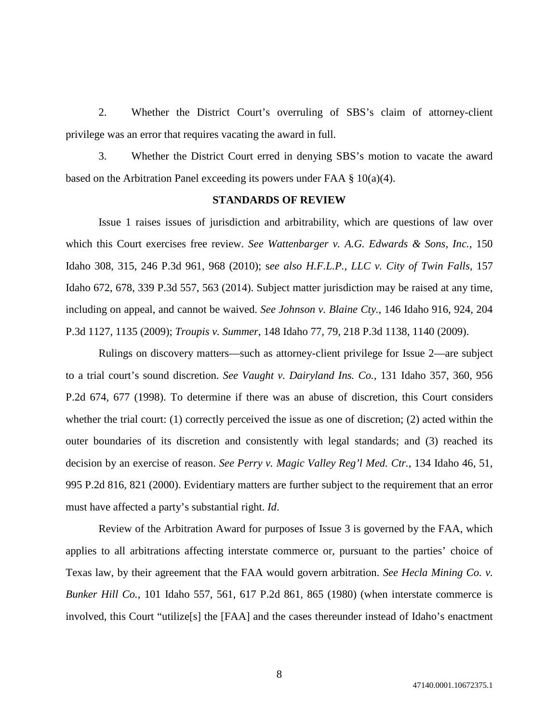2. Whether the District Court's overruling of SBS's claim of attorney-client privilege was an error that requires vacating the award in full.

3. Whether the District Court erred in denying SBS's motion to vacate the award based on the Arbitration Panel exceeding its powers under FAA  $\S$  10(a)(4).

#### **STANDARDS OF REVIEW**

Issue 1 raises issues of jurisdiction and arbitrability, which are questions of law over which this Court exercises free review. *See Wattenbarger v. A.G. Edwards & Sons, Inc.*, 150 Idaho 308, 315, 246 P.3d 961, 968 (2010); s*ee also H.F.L.P., LLC v. City of Twin Falls*, 157 Idaho 672, 678, 339 P.3d 557, 563 (2014). Subject matter jurisdiction may be raised at any time, including on appeal, and cannot be waived. *See Johnson v. Blaine Cty.*, 146 Idaho 916, 924, 204 P.3d 1127, 1135 (2009); *Troupis v. Summer*, 148 Idaho 77, 79, 218 P.3d 1138, 1140 (2009).

Rulings on discovery matters—such as attorney-client privilege for Issue 2—are subject to a trial court's sound discretion. *See Vaught v. Dairyland Ins. Co.*, 131 Idaho 357, 360, 956 P.2d 674, 677 (1998). To determine if there was an abuse of discretion, this Court considers whether the trial court: (1) correctly perceived the issue as one of discretion; (2) acted within the outer boundaries of its discretion and consistently with legal standards; and (3) reached its decision by an exercise of reason. *See Perry v. Magic Valley Reg'l Med. Ctr.*, 134 Idaho 46, 51, 995 P.2d 816, 821 (2000). Evidentiary matters are further subject to the requirement that an error must have affected a party's substantial right. *Id*.

Review of the Arbitration Award for purposes of Issue 3 is governed by the FAA, which applies to all arbitrations affecting interstate commerce or, pursuant to the parties' choice of Texas law, by their agreement that the FAA would govern arbitration. *See Hecla Mining Co. v. Bunker Hill Co.*, 101 Idaho 557, 561, 617 P.2d 861, 865 (1980) (when interstate commerce is involved, this Court "utilize[s] the [FAA] and the cases thereunder instead of Idaho's enactment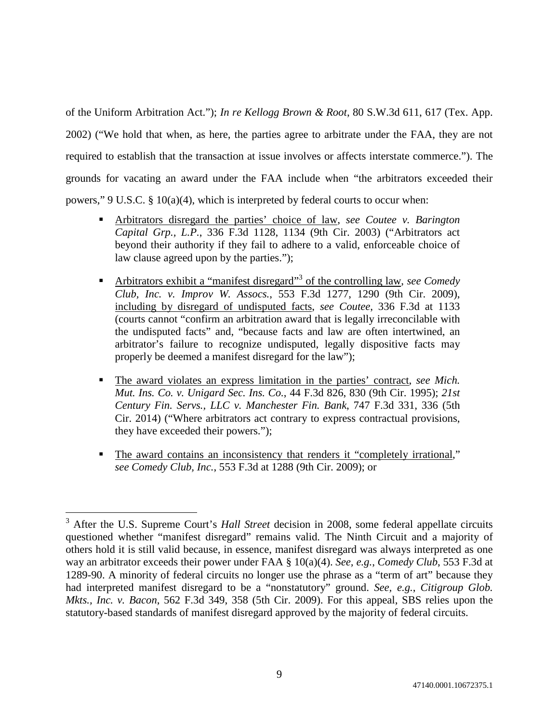of the Uniform Arbitration Act."); *In re Kellogg Brown & Root*, 80 S.W.3d 611, 617 (Tex. App. 2002) ("We hold that when, as here, the parties agree to arbitrate under the FAA, they are not required to establish that the transaction at issue involves or affects interstate commerce."). The grounds for vacating an award under the FAA include when "the arbitrators exceeded their powers," 9 U.S.C.  $\S$  10(a)(4), which is interpreted by federal courts to occur when:

- Arbitrators disregard the parties' choice of law, *see Coutee v. Barington Capital Grp., L.P.*, 336 F.3d 1128, 1134 (9th Cir. 2003) ("Arbitrators act beyond their authority if they fail to adhere to a valid, enforceable choice of law clause agreed upon by the parties.");
- **EXECUTE:** Arbitrators exhibit a "manifest disregard"<sup>3</sup> of the controlling law, *see Comedy Club, Inc. v. Improv W. Assocs.*, 553 F.3d 1277, 1290 (9th Cir. 2009), including by disregard of undisputed facts, *see Coutee*, 336 F.3d at 1133 (courts cannot "confirm an arbitration award that is legally irreconcilable with the undisputed facts" and, "because facts and law are often intertwined, an arbitrator's failure to recognize undisputed, legally dispositive facts may properly be deemed a manifest disregard for the law");
- The award violates an express limitation in the parties' contract, *see Mich. Mut. Ins. Co. v. Unigard Sec. Ins. Co.*, 44 F.3d 826, 830 (9th Cir. 1995); *21st Century Fin. Servs., LLC v. Manchester Fin. Bank*, 747 F.3d 331, 336 (5th Cir. 2014) ("Where arbitrators act contrary to express contractual provisions, they have exceeded their powers.");
- The award contains an inconsistency that renders it "completely irrational," *see Comedy Club, Inc.*, 553 F.3d at 1288 (9th Cir. 2009); or

<sup>&</sup>lt;sup>3</sup> After the U.S. Supreme Court's *Hall Street* decision in 2008, some federal appellate circuits questioned whether "manifest disregard" remains valid. The Ninth Circuit and a majority of others hold it is still valid because, in essence, manifest disregard was always interpreted as one way an arbitrator exceeds their power under FAA § 10(a)(4). *See, e.g.*, *Comedy Club*, 553 F.3d at 1289-90. A minority of federal circuits no longer use the phrase as a "term of art" because they had interpreted manifest disregard to be a "nonstatutory" ground. *See, e.g.*, *Citigroup Glob. Mkts., Inc. v. Bacon*, 562 F.3d 349, 358 (5th Cir. 2009). For this appeal, SBS relies upon the statutory-based standards of manifest disregard approved by the majority of federal circuits.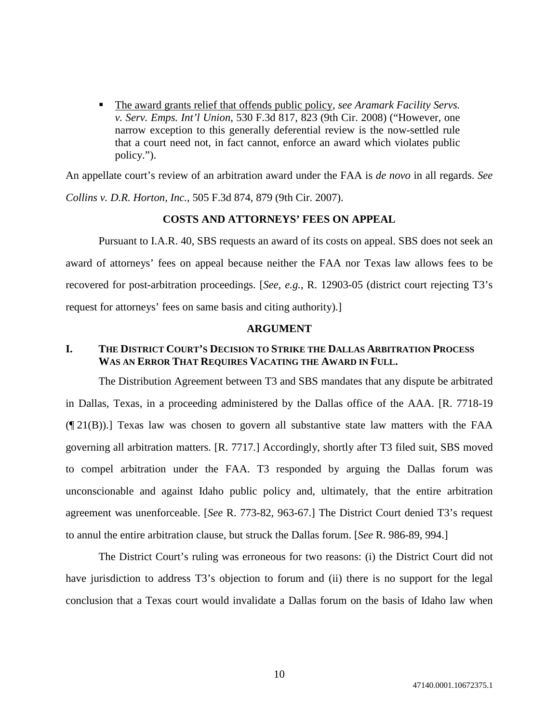■ The award grants relief that offends public policy, *see Aramark Facility Servs. v. Serv. Emps. Int'l Union*, 530 F.3d 817, 823 (9th Cir. 2008) ("However, one narrow exception to this generally deferential review is the now-settled rule that a court need not, in fact cannot, enforce an award which violates public policy.").

An appellate court's review of an arbitration award under the FAA is *de novo* in all regards. *See Collins v. D.R. Horton, Inc.*, 505 F.3d 874, 879 (9th Cir. 2007).

### **COSTS AND ATTORNEYS' FEES ON APPEAL**

Pursuant to I.A.R. 40, SBS requests an award of its costs on appeal. SBS does not seek an award of attorneys' fees on appeal because neither the FAA nor Texas law allows fees to be recovered for post-arbitration proceedings. [*See, e.g.*, R. 12903-05 (district court rejecting T3's request for attorneys' fees on same basis and citing authority).]

### **ARGUMENT**

# **I. THE DISTRICT COURT'S DECISION TO STRIKE THE DALLAS ARBITRATION PROCESS WAS AN ERROR THAT REQUIRES VACATING THE AWARD IN FULL.**

The Distribution Agreement between T3 and SBS mandates that any dispute be arbitrated in Dallas, Texas, in a proceeding administered by the Dallas office of the AAA. [R. 7718-19 (¶ 21(B)).] Texas law was chosen to govern all substantive state law matters with the FAA governing all arbitration matters. [R. 7717.] Accordingly, shortly after T3 filed suit, SBS moved to compel arbitration under the FAA. T3 responded by arguing the Dallas forum was unconscionable and against Idaho public policy and, ultimately, that the entire arbitration agreement was unenforceable. [*See* R. 773-82, 963-67.] The District Court denied T3's request to annul the entire arbitration clause, but struck the Dallas forum. [*See* R. 986-89, 994.]

The District Court's ruling was erroneous for two reasons: (i) the District Court did not have jurisdiction to address T3's objection to forum and (ii) there is no support for the legal conclusion that a Texas court would invalidate a Dallas forum on the basis of Idaho law when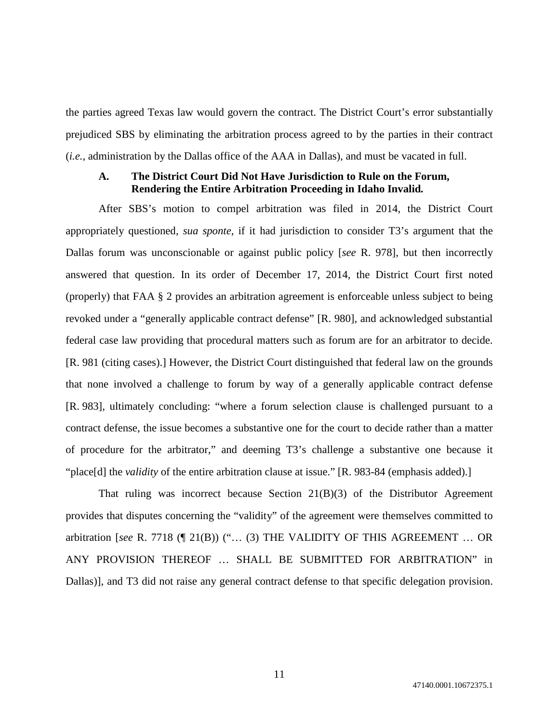the parties agreed Texas law would govern the contract. The District Court's error substantially prejudiced SBS by eliminating the arbitration process agreed to by the parties in their contract (*i.e.*, administration by the Dallas office of the AAA in Dallas), and must be vacated in full.

### **A. The District Court Did Not Have Jurisdiction to Rule on the Forum, Rendering the Entire Arbitration Proceeding in Idaho Invalid***.*

After SBS's motion to compel arbitration was filed in 2014, the District Court appropriately questioned, *sua sponte*, if it had jurisdiction to consider T3's argument that the Dallas forum was unconscionable or against public policy [*see* R. 978], but then incorrectly answered that question. In its order of December 17, 2014, the District Court first noted (properly) that FAA § 2 provides an arbitration agreement is enforceable unless subject to being revoked under a "generally applicable contract defense" [R. 980], and acknowledged substantial federal case law providing that procedural matters such as forum are for an arbitrator to decide. [R. 981 (citing cases).] However, the District Court distinguished that federal law on the grounds that none involved a challenge to forum by way of a generally applicable contract defense [R. 983], ultimately concluding: "where a forum selection clause is challenged pursuant to a contract defense, the issue becomes a substantive one for the court to decide rather than a matter of procedure for the arbitrator," and deeming T3's challenge a substantive one because it "place[d] the *validity* of the entire arbitration clause at issue." [R. 983-84 (emphasis added).]

That ruling was incorrect because Section  $21(B)(3)$  of the Distributor Agreement provides that disputes concerning the "validity" of the agreement were themselves committed to arbitration [*see* R. 7718 (¶ 21(B)) ("… (3) THE VALIDITY OF THIS AGREEMENT … OR ANY PROVISION THEREOF … SHALL BE SUBMITTED FOR ARBITRATION" in Dallas)], and T3 did not raise any general contract defense to that specific delegation provision.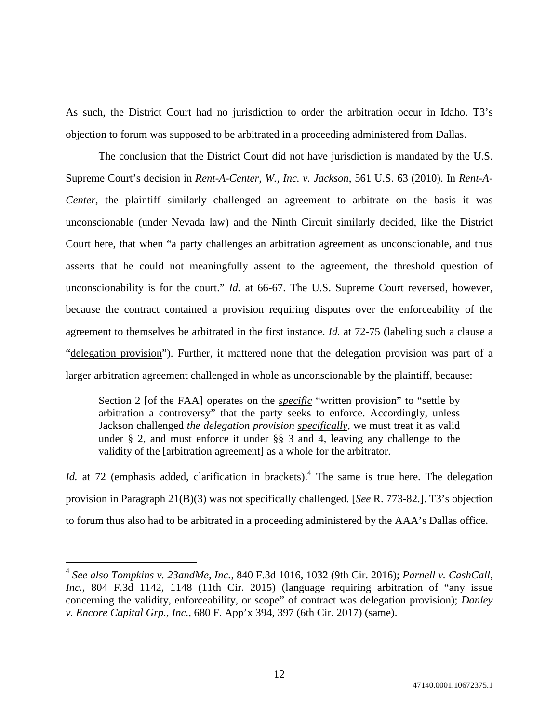As such, the District Court had no jurisdiction to order the arbitration occur in Idaho. T3's objection to forum was supposed to be arbitrated in a proceeding administered from Dallas.

The conclusion that the District Court did not have jurisdiction is mandated by the U.S. Supreme Court's decision in *Rent-A-Center, W., Inc. v. Jackson*, 561 U.S. 63 (2010). In *Rent-A-Center*, the plaintiff similarly challenged an agreement to arbitrate on the basis it was unconscionable (under Nevada law) and the Ninth Circuit similarly decided, like the District Court here, that when "a party challenges an arbitration agreement as unconscionable, and thus asserts that he could not meaningfully assent to the agreement, the threshold question of unconscionability is for the court." *Id.* at 66-67. The U.S. Supreme Court reversed, however, because the contract contained a provision requiring disputes over the enforceability of the agreement to themselves be arbitrated in the first instance. *Id.* at 72-75 (labeling such a clause a "delegation provision"). Further, it mattered none that the delegation provision was part of a larger arbitration agreement challenged in whole as unconscionable by the plaintiff, because:

Section 2 [of the FAA] operates on the *specific* "written provision" to "settle by arbitration a controversy" that the party seeks to enforce. Accordingly, unless Jackson challenged *the delegation provision specifically*, we must treat it as valid under § 2, and must enforce it under §§ 3 and 4, leaving any challenge to the validity of the [arbitration agreement] as a whole for the arbitrator.

*Id.* at 72 (emphasis added, clarification in brackets).<sup>4</sup> The same is true here. The delegation provision in Paragraph 21(B)(3) was not specifically challenged. [*See* R. 773-82.]. T3's objection to forum thus also had to be arbitrated in a proceeding administered by the AAA's Dallas office.

<sup>4</sup> *See also Tompkins v. 23andMe, Inc.*, 840 F.3d 1016, 1032 (9th Cir. 2016); *Parnell v. CashCall, Inc.*, 804 F.3d 1142, 1148 (11th Cir. 2015) (language requiring arbitration of "any issue concerning the validity, enforceability, or scope" of contract was delegation provision); *Danley v. Encore Capital Grp., Inc.*, 680 F. App'x 394, 397 (6th Cir. 2017) (same).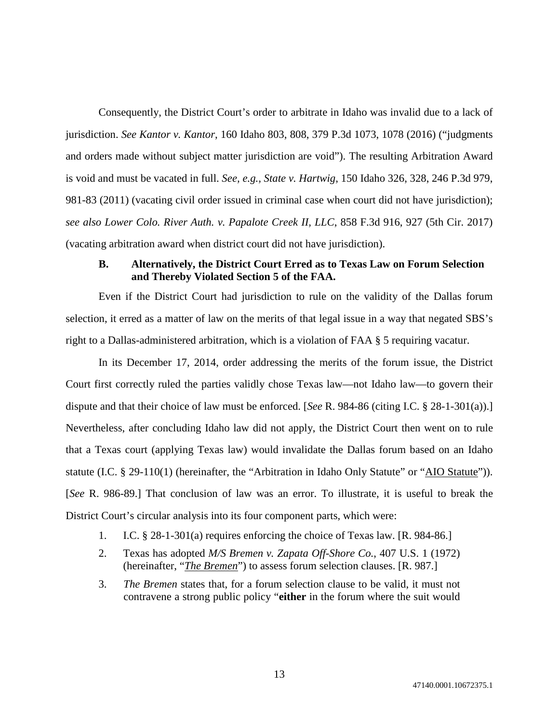Consequently, the District Court's order to arbitrate in Idaho was invalid due to a lack of jurisdiction. *See Kantor v. Kantor*, 160 Idaho 803, 808, 379 P.3d 1073, 1078 (2016) ("judgments and orders made without subject matter jurisdiction are void"). The resulting Arbitration Award is void and must be vacated in full. *See, e.g., State v. Hartwig*, 150 Idaho 326, 328, 246 P.3d 979, 981-83 (2011) (vacating civil order issued in criminal case when court did not have jurisdiction); *see also Lower Colo. River Auth. v. Papalote Creek II, LLC*, 858 F.3d 916, 927 (5th Cir. 2017) (vacating arbitration award when district court did not have jurisdiction).

# **B. Alternatively, the District Court Erred as to Texas Law on Forum Selection and Thereby Violated Section 5 of the FAA.**

Even if the District Court had jurisdiction to rule on the validity of the Dallas forum selection, it erred as a matter of law on the merits of that legal issue in a way that negated SBS's right to a Dallas-administered arbitration, which is a violation of FAA § 5 requiring vacatur.

In its December 17, 2014, order addressing the merits of the forum issue, the District Court first correctly ruled the parties validly chose Texas law—not Idaho law—to govern their dispute and that their choice of law must be enforced. [*See* R. 984-86 (citing I.C. § 28-1-301(a)).] Nevertheless, after concluding Idaho law did not apply, the District Court then went on to rule that a Texas court (applying Texas law) would invalidate the Dallas forum based on an Idaho statute (I.C. § 29-110(1) (hereinafter, the "Arbitration in Idaho Only Statute" or "AIO Statute")). [*See* R. 986-89.] That conclusion of law was an error. To illustrate, it is useful to break the District Court's circular analysis into its four component parts, which were:

- 1. I.C. § 28-1-301(a) requires enforcing the choice of Texas law. [R. 984-86.]
- 2. Texas has adopted *M/S Bremen v. Zapata Off-Shore Co.*, 407 U.S. 1 (1972) (hereinafter, "*The Bremen*") to assess forum selection clauses. [R. 987.]
- 3. *The Bremen* states that, for a forum selection clause to be valid, it must not contravene a strong public policy "**either** in the forum where the suit would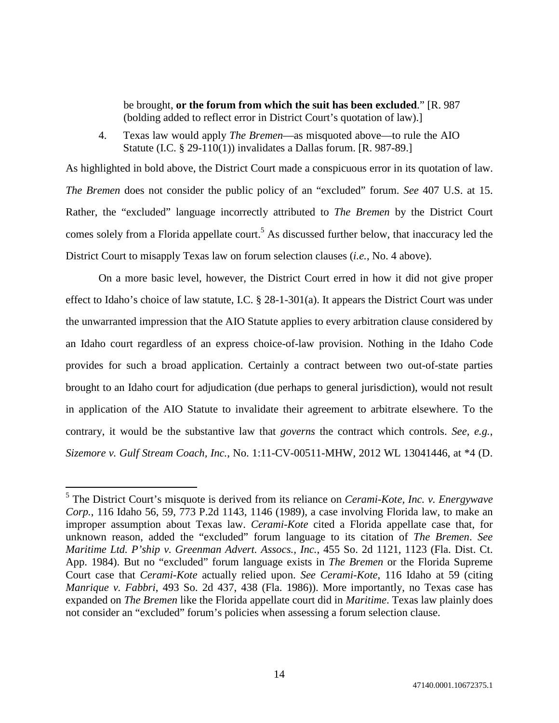be brought, **or the forum from which the suit has been excluded**." [R. 987 (bolding added to reflect error in District Court's quotation of law).]

4. Texas law would apply *The Bremen*—as misquoted above—to rule the AIO Statute (I.C. § 29-110(1)) invalidates a Dallas forum. [R. 987-89.]

As highlighted in bold above, the District Court made a conspicuous error in its quotation of law. *The Bremen* does not consider the public policy of an "excluded" forum. *See* 407 U.S. at 15. Rather, the "excluded" language incorrectly attributed to *The Bremen* by the District Court comes solely from a Florida appellate court.<sup>5</sup> As discussed further below, that inaccuracy led the District Court to misapply Texas law on forum selection clauses (*i.e.*, No. 4 above).

On a more basic level, however, the District Court erred in how it did not give proper effect to Idaho's choice of law statute, I.C. § 28-1-301(a). It appears the District Court was under the unwarranted impression that the AIO Statute applies to every arbitration clause considered by an Idaho court regardless of an express choice-of-law provision. Nothing in the Idaho Code provides for such a broad application. Certainly a contract between two out-of-state parties brought to an Idaho court for adjudication (due perhaps to general jurisdiction), would not result in application of the AIO Statute to invalidate their agreement to arbitrate elsewhere. To the contrary, it would be the substantive law that *governs* the contract which controls. *See, e.g.*, *Sizemore v. Gulf Stream Coach, Inc.*, No. 1:11-CV-00511-MHW, 2012 WL 13041446, at \*4 (D.

<sup>5</sup> The District Court's misquote is derived from its reliance on *Cerami-Kote, Inc. v. Energywave Corp.*, 116 Idaho 56, 59, 773 P.2d 1143, 1146 (1989), a case involving Florida law, to make an improper assumption about Texas law. *Cerami-Kote* cited a Florida appellate case that, for unknown reason, added the "excluded" forum language to its citation of *The Bremen*. *See Maritime Ltd. P'ship v. Greenman Advert. Assocs., Inc.*, 455 So. 2d 1121, 1123 (Fla. Dist. Ct. App. 1984). But no "excluded" forum language exists in *The Bremen* or the Florida Supreme Court case that *Cerami-Kote* actually relied upon. *See Cerami-Kote*, 116 Idaho at 59 (citing *Manrique v. Fabbri*, 493 So. 2d 437, 438 (Fla. 1986)). More importantly, no Texas case has expanded on *The Bremen* like the Florida appellate court did in *Maritime*. Texas law plainly does not consider an "excluded" forum's policies when assessing a forum selection clause.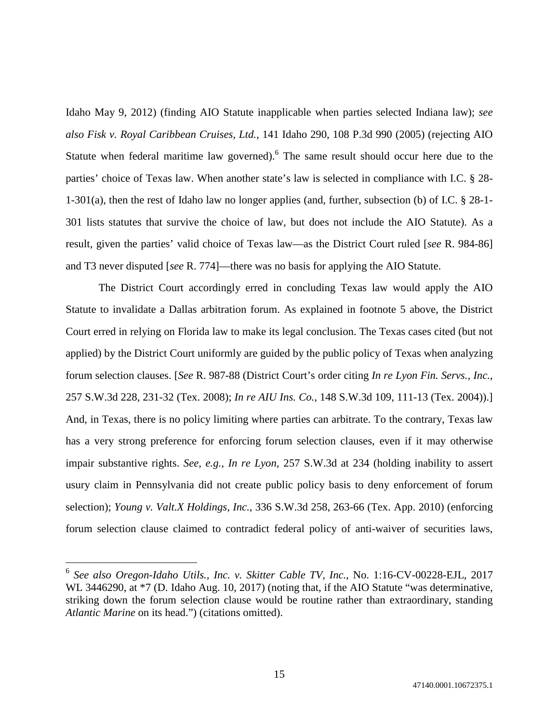Idaho May 9, 2012) (finding AIO Statute inapplicable when parties selected Indiana law); *see also Fisk v. Royal Caribbean Cruises, Ltd.*, 141 Idaho 290, 108 P.3d 990 (2005) (rejecting AIO Statute when federal maritime law governed). <sup>6</sup> The same result should occur here due to the parties' choice of Texas law. When another state's law is selected in compliance with I.C. § 28- 1-301(a), then the rest of Idaho law no longer applies (and, further, subsection (b) of I.C. § 28-1- 301 lists statutes that survive the choice of law, but does not include the AIO Statute). As a result, given the parties' valid choice of Texas law—as the District Court ruled [*see* R. 984-86] and T3 never disputed [*see* R. 774]—there was no basis for applying the AIO Statute.

The District Court accordingly erred in concluding Texas law would apply the AIO Statute to invalidate a Dallas arbitration forum. As explained in footnote 5 above, the District Court erred in relying on Florida law to make its legal conclusion. The Texas cases cited (but not applied) by the District Court uniformly are guided by the public policy of Texas when analyzing forum selection clauses. [*See* R. 987-88 (District Court's order citing *In re Lyon Fin. Servs., Inc.*, 257 S.W.3d 228, 231-32 (Tex. 2008); *In re AIU Ins. Co.*, 148 S.W.3d 109, 111-13 (Tex. 2004)).] And, in Texas, there is no policy limiting where parties can arbitrate. To the contrary, Texas law has a very strong preference for enforcing forum selection clauses, even if it may otherwise impair substantive rights. *See, e.g.*, *In re Lyon*, 257 S.W.3d at 234 (holding inability to assert usury claim in Pennsylvania did not create public policy basis to deny enforcement of forum selection); *Young v. Valt.X Holdings, Inc.*, 336 S.W.3d 258, 263-66 (Tex. App. 2010) (enforcing forum selection clause claimed to contradict federal policy of anti-waiver of securities laws,

<sup>6</sup> *See also Oregon-Idaho Utils., Inc. v. Skitter Cable TV, Inc.*, No. 1:16-CV-00228-EJL, 2017 WL 3446290, at  $*7$  (D. Idaho Aug. 10, 2017) (noting that, if the AIO Statute "was determinative, striking down the forum selection clause would be routine rather than extraordinary, standing *Atlantic Marine* on its head.") (citations omitted).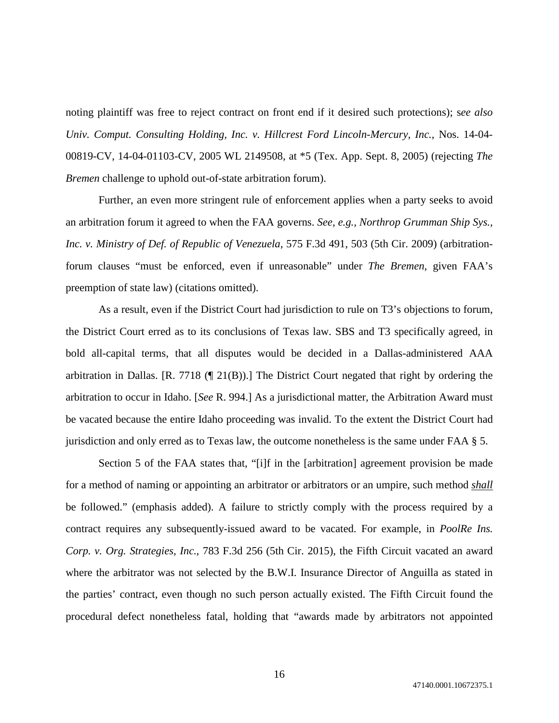noting plaintiff was free to reject contract on front end if it desired such protections); s*ee also Univ. Comput. Consulting Holding, Inc. v. Hillcrest Ford Lincoln-Mercury, Inc.*, Nos. 14-04- 00819-CV, 14-04-01103-CV, 2005 WL 2149508, at \*5 (Tex. App. Sept. 8, 2005) (rejecting *The Bremen* challenge to uphold out-of-state arbitration forum).

Further, an even more stringent rule of enforcement applies when a party seeks to avoid an arbitration forum it agreed to when the FAA governs. *See, e.g., Northrop Grumman Ship Sys., Inc. v. Ministry of Def. of Republic of Venezuela*, 575 F.3d 491, 503 (5th Cir. 2009) (arbitrationforum clauses "must be enforced, even if unreasonable" under *The Bremen*, given FAA's preemption of state law) (citations omitted).

As a result, even if the District Court had jurisdiction to rule on T3's objections to forum, the District Court erred as to its conclusions of Texas law. SBS and T3 specifically agreed, in bold all-capital terms, that all disputes would be decided in a Dallas-administered AAA arbitration in Dallas. [R. 7718 (¶ 21(B)).] The District Court negated that right by ordering the arbitration to occur in Idaho. [*See* R. 994.] As a jurisdictional matter, the Arbitration Award must be vacated because the entire Idaho proceeding was invalid. To the extent the District Court had jurisdiction and only erred as to Texas law, the outcome nonetheless is the same under FAA § 5.

Section 5 of the FAA states that, "[i]f in the [arbitration] agreement provision be made for a method of naming or appointing an arbitrator or arbitrators or an umpire, such method *shall* be followed." (emphasis added). A failure to strictly comply with the process required by a contract requires any subsequently-issued award to be vacated. For example, in *PoolRe Ins. Corp. v. Org. Strategies, Inc.*, 783 F.3d 256 (5th Cir. 2015), the Fifth Circuit vacated an award where the arbitrator was not selected by the B.W.I. Insurance Director of Anguilla as stated in the parties' contract, even though no such person actually existed. The Fifth Circuit found the procedural defect nonetheless fatal, holding that "awards made by arbitrators not appointed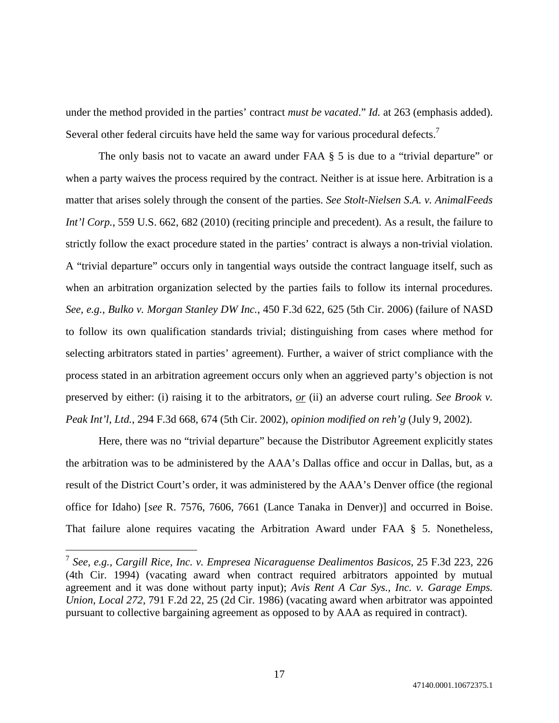under the method provided in the parties' contract *must be vacated*." *Id.* at 263 (emphasis added). Several other federal circuits have held the same way for various procedural defects.<sup>7</sup>

The only basis not to vacate an award under FAA § 5 is due to a "trivial departure" or when a party waives the process required by the contract. Neither is at issue here. Arbitration is a matter that arises solely through the consent of the parties. *See Stolt-Nielsen S.A. v. AnimalFeeds Int'l Corp.*, 559 U.S. 662, 682 (2010) (reciting principle and precedent). As a result, the failure to strictly follow the exact procedure stated in the parties' contract is always a non-trivial violation. A "trivial departure" occurs only in tangential ways outside the contract language itself, such as when an arbitration organization selected by the parties fails to follow its internal procedures. *See, e.g.*, *Bulko v. Morgan Stanley DW Inc.*, 450 F.3d 622, 625 (5th Cir. 2006) (failure of NASD to follow its own qualification standards trivial; distinguishing from cases where method for selecting arbitrators stated in parties' agreement). Further, a waiver of strict compliance with the process stated in an arbitration agreement occurs only when an aggrieved party's objection is not preserved by either: (i) raising it to the arbitrators, *or* (ii) an adverse court ruling. *See Brook v. Peak Int'l, Ltd.*, 294 F.3d 668, 674 (5th Cir. 2002), *opinion modified on reh'g* (July 9, 2002).

Here, there was no "trivial departure" because the Distributor Agreement explicitly states the arbitration was to be administered by the AAA's Dallas office and occur in Dallas, but, as a result of the District Court's order, it was administered by the AAA's Denver office (the regional office for Idaho) [*see* R. 7576, 7606, 7661 (Lance Tanaka in Denver)] and occurred in Boise. That failure alone requires vacating the Arbitration Award under FAA § 5. Nonetheless,

<sup>7</sup> *See, e.g.*, *Cargill Rice, Inc. v. Empresea Nicaraguense Dealimentos Basicos*, 25 F.3d 223, 226 (4th Cir. 1994) (vacating award when contract required arbitrators appointed by mutual agreement and it was done without party input); *Avis Rent A Car Sys., Inc. v. Garage Emps. Union, Local 272*, 791 F.2d 22, 25 (2d Cir. 1986) (vacating award when arbitrator was appointed pursuant to collective bargaining agreement as opposed to by AAA as required in contract).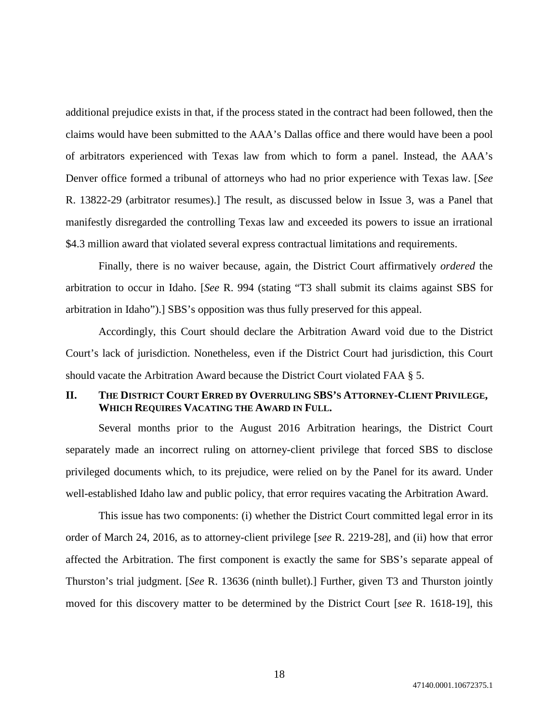additional prejudice exists in that, if the process stated in the contract had been followed, then the claims would have been submitted to the AAA's Dallas office and there would have been a pool of arbitrators experienced with Texas law from which to form a panel. Instead, the AAA's Denver office formed a tribunal of attorneys who had no prior experience with Texas law. [*See* R. 13822-29 (arbitrator resumes).] The result, as discussed below in Issue 3, was a Panel that manifestly disregarded the controlling Texas law and exceeded its powers to issue an irrational \$4.3 million award that violated several express contractual limitations and requirements.

Finally, there is no waiver because, again, the District Court affirmatively *ordered* the arbitration to occur in Idaho. [*See* R. 994 (stating "T3 shall submit its claims against SBS for arbitration in Idaho").] SBS's opposition was thus fully preserved for this appeal.

Accordingly, this Court should declare the Arbitration Award void due to the District Court's lack of jurisdiction. Nonetheless, even if the District Court had jurisdiction, this Court should vacate the Arbitration Award because the District Court violated FAA § 5.

# **II. THE DISTRICT COURT ERRED BY OVERRULING SBS'S ATTORNEY-CLIENT PRIVILEGE, WHICH REQUIRES VACATING THE AWARD IN FULL.**

Several months prior to the August 2016 Arbitration hearings, the District Court separately made an incorrect ruling on attorney-client privilege that forced SBS to disclose privileged documents which, to its prejudice, were relied on by the Panel for its award. Under well-established Idaho law and public policy, that error requires vacating the Arbitration Award.

This issue has two components: (i) whether the District Court committed legal error in its order of March 24, 2016, as to attorney-client privilege [*see* R. 2219-28], and (ii) how that error affected the Arbitration. The first component is exactly the same for SBS's separate appeal of Thurston's trial judgment. [*See* R. 13636 (ninth bullet).] Further, given T3 and Thurston jointly moved for this discovery matter to be determined by the District Court [*see* R. 1618-19], this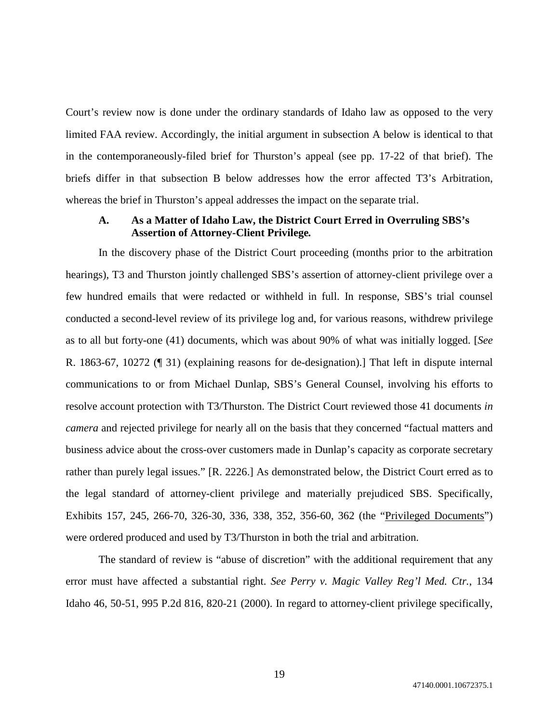Court's review now is done under the ordinary standards of Idaho law as opposed to the very limited FAA review. Accordingly, the initial argument in subsection A below is identical to that in the contemporaneously-filed brief for Thurston's appeal (see pp. 17-22 of that brief). The briefs differ in that subsection B below addresses how the error affected T3's Arbitration, whereas the brief in Thurston's appeal addresses the impact on the separate trial.

# **A. As a Matter of Idaho Law, the District Court Erred in Overruling SBS's Assertion of Attorney-Client Privilege***.*

In the discovery phase of the District Court proceeding (months prior to the arbitration hearings), T3 and Thurston jointly challenged SBS's assertion of attorney-client privilege over a few hundred emails that were redacted or withheld in full. In response, SBS's trial counsel conducted a second-level review of its privilege log and, for various reasons, withdrew privilege as to all but forty-one (41) documents, which was about 90% of what was initially logged. [*See* R. 1863-67, 10272 (¶ 31) (explaining reasons for de-designation).] That left in dispute internal communications to or from Michael Dunlap, SBS's General Counsel, involving his efforts to resolve account protection with T3/Thurston. The District Court reviewed those 41 documents *in camera* and rejected privilege for nearly all on the basis that they concerned "factual matters and business advice about the cross-over customers made in Dunlap's capacity as corporate secretary rather than purely legal issues." [R. 2226.] As demonstrated below, the District Court erred as to the legal standard of attorney-client privilege and materially prejudiced SBS. Specifically, Exhibits 157, 245, 266-70, 326-30, 336, 338, 352, 356-60, 362 (the "Privileged Documents") were ordered produced and used by T3/Thurston in both the trial and arbitration.

The standard of review is "abuse of discretion" with the additional requirement that any error must have affected a substantial right. *See Perry v. Magic Valley Reg'l Med. Ctr.*, 134 Idaho 46, 50-51, 995 P.2d 816, 820-21 (2000). In regard to attorney-client privilege specifically,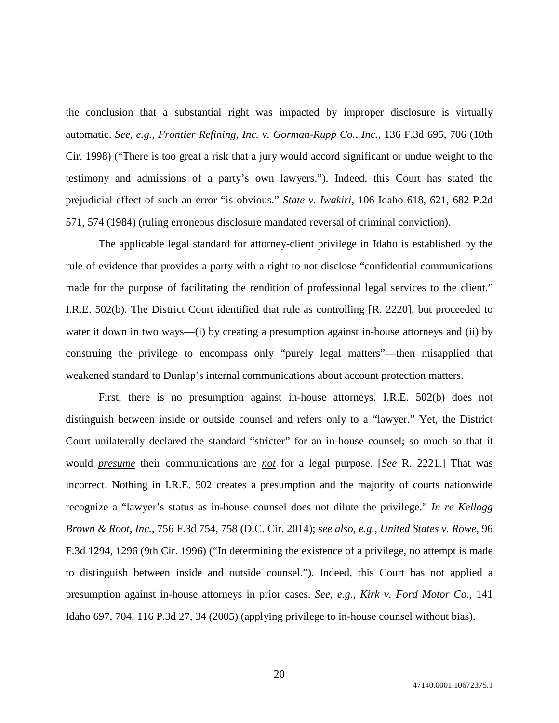the conclusion that a substantial right was impacted by improper disclosure is virtually automatic. *See, e.g.*, *Frontier Refining, Inc. v. Gorman-Rupp Co., Inc.*, 136 F.3d 695, 706 (10th Cir. 1998) ("There is too great a risk that a jury would accord significant or undue weight to the testimony and admissions of a party's own lawyers."). Indeed, this Court has stated the prejudicial effect of such an error "is obvious." *State v. Iwakiri*, 106 Idaho 618, 621, 682 P.2d 571, 574 (1984) (ruling erroneous disclosure mandated reversal of criminal conviction).

The applicable legal standard for attorney-client privilege in Idaho is established by the rule of evidence that provides a party with a right to not disclose "confidential communications made for the purpose of facilitating the rendition of professional legal services to the client." I.R.E. 502(b). The District Court identified that rule as controlling [R. 2220], but proceeded to water it down in two ways—(i) by creating a presumption against in-house attorneys and (ii) by construing the privilege to encompass only "purely legal matters"—then misapplied that weakened standard to Dunlap's internal communications about account protection matters.

First, there is no presumption against in-house attorneys. I.R.E. 502(b) does not distinguish between inside or outside counsel and refers only to a "lawyer." Yet, the District Court unilaterally declared the standard "stricter" for an in-house counsel; so much so that it would *presume* their communications are *not* for a legal purpose. [*See* R. 2221.] That was incorrect. Nothing in I.R.E. 502 creates a presumption and the majority of courts nationwide recognize a "lawyer's status as in-house counsel does not dilute the privilege." *In re Kellogg Brown & Root, Inc.*, 756 F.3d 754, 758 (D.C. Cir. 2014); *see also, e.g., United States v. Rowe*, 96 F.3d 1294, 1296 (9th Cir. 1996) ("In determining the existence of a privilege, no attempt is made to distinguish between inside and outside counsel."). Indeed, this Court has not applied a presumption against in-house attorneys in prior cases. *See, e.g.*, *Kirk v. Ford Motor Co.*, 141 Idaho 697, 704, 116 P.3d 27, 34 (2005) (applying privilege to in-house counsel without bias).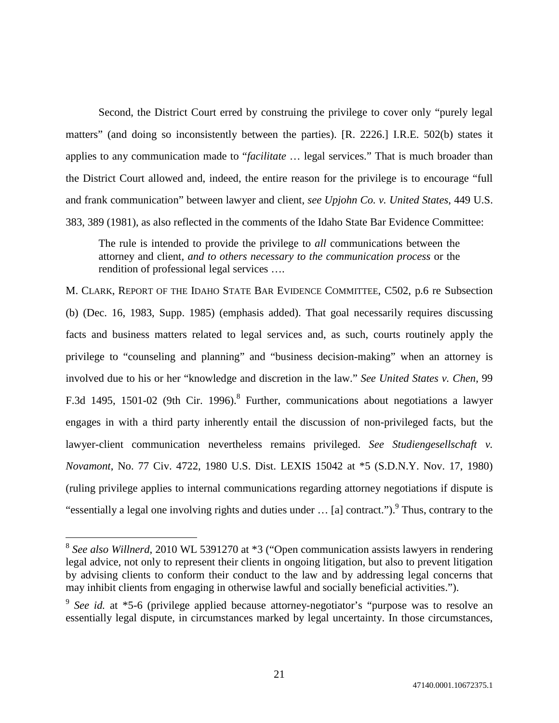Second, the District Court erred by construing the privilege to cover only "purely legal matters" (and doing so inconsistently between the parties). [R. 2226.] I.R.E. 502(b) states it applies to any communication made to "*facilitate* … legal services." That is much broader than the District Court allowed and, indeed, the entire reason for the privilege is to encourage "full and frank communication" between lawyer and client, *see Upjohn Co. v. United States*, 449 U.S. 383, 389 (1981), as also reflected in the comments of the Idaho State Bar Evidence Committee:

The rule is intended to provide the privilege to *all* communications between the attorney and client, *and to others necessary to the communication process* or the rendition of professional legal services ….

M. CLARK, REPORT OF THE IDAHO STATE BAR EVIDENCE COMMITTEE, C502, p.6 re Subsection (b) (Dec. 16, 1983, Supp. 1985) (emphasis added). That goal necessarily requires discussing facts and business matters related to legal services and, as such, courts routinely apply the privilege to "counseling and planning" and "business decision-making" when an attorney is involved due to his or her "knowledge and discretion in the law." *See United States v. Chen*, 99 F.3d 1495, 1501-02 (9th Cir. 1996). Further, communications about negotiations a lawyer engages in with a third party inherently entail the discussion of non-privileged facts, but the lawyer-client communication nevertheless remains privileged. *See Studiengesellschaft v. Novamont*, No. 77 Civ. 4722, 1980 U.S. Dist. LEXIS 15042 at \*5 (S.D.N.Y. Nov. 17, 1980) (ruling privilege applies to internal communications regarding attorney negotiations if dispute is "essentially a legal one involving rights and duties under  $\ldots$  [a] contract."). Thus, contrary to the

<sup>&</sup>lt;sup>8</sup> See also Willnerd, 2010 WL 5391270 at \*3 ("Open communication assists lawyers in rendering legal advice, not only to represent their clients in ongoing litigation, but also to prevent litigation by advising clients to conform their conduct to the law and by addressing legal concerns that may inhibit clients from engaging in otherwise lawful and socially beneficial activities.").

<sup>&</sup>lt;sup>9</sup> See id. at \*5-6 (privilege applied because attorney-negotiator's "purpose was to resolve an essentially legal dispute, in circumstances marked by legal uncertainty. In those circumstances,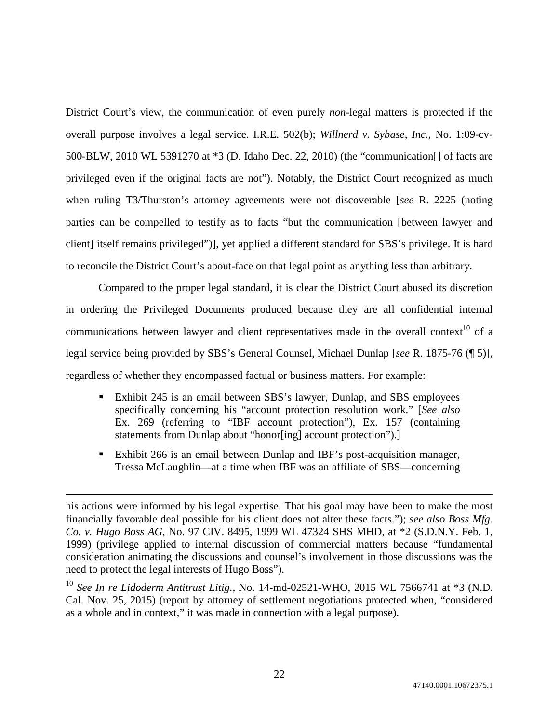District Court's view, the communication of even purely *non*-legal matters is protected if the overall purpose involves a legal service. I.R.E. 502(b); *Willnerd v. Sybase, Inc.*, No. 1:09-cv-500-BLW, 2010 WL 5391270 at \*3 (D. Idaho Dec. 22, 2010) (the "communication[] of facts are privileged even if the original facts are not"). Notably, the District Court recognized as much when ruling T3/Thurston's attorney agreements were not discoverable [*see* R. 2225 (noting parties can be compelled to testify as to facts "but the communication [between lawyer and client] itself remains privileged")], yet applied a different standard for SBS's privilege. It is hard to reconcile the District Court's about-face on that legal point as anything less than arbitrary.

Compared to the proper legal standard, it is clear the District Court abused its discretion in ordering the Privileged Documents produced because they are all confidential internal communications between lawyer and client representatives made in the overall context<sup>10</sup> of a legal service being provided by SBS's General Counsel, Michael Dunlap [*see* R. 1875-76 (¶ 5)], regardless of whether they encompassed factual or business matters. For example:

- Exhibit 245 is an email between SBS's lawyer, Dunlap, and SBS employees specifically concerning his "account protection resolution work." [*See also* Ex. 269 (referring to "IBF account protection"), Ex. 157 (containing statements from Dunlap about "honor[ing] account protection").]
- Exhibit 266 is an email between Dunlap and IBF's post-acquisition manager, Tressa McLaughlin—at a time when IBF was an affiliate of SBS—concerning

<sup>10</sup> *See In re Lidoderm Antitrust Litig.*, No. 14-md-02521-WHO, 2015 WL 7566741 at \*3 (N.D. Cal. Nov. 25, 2015) (report by attorney of settlement negotiations protected when, "considered as a whole and in context," it was made in connection with a legal purpose).

his actions were informed by his legal expertise. That his goal may have been to make the most financially favorable deal possible for his client does not alter these facts."); *see also Boss Mfg. Co. v. Hugo Boss AG*, No. 97 CIV. 8495, 1999 WL 47324 SHS MHD, at \*2 (S.D.N.Y. Feb. 1, 1999) (privilege applied to internal discussion of commercial matters because "fundamental consideration animating the discussions and counsel's involvement in those discussions was the need to protect the legal interests of Hugo Boss").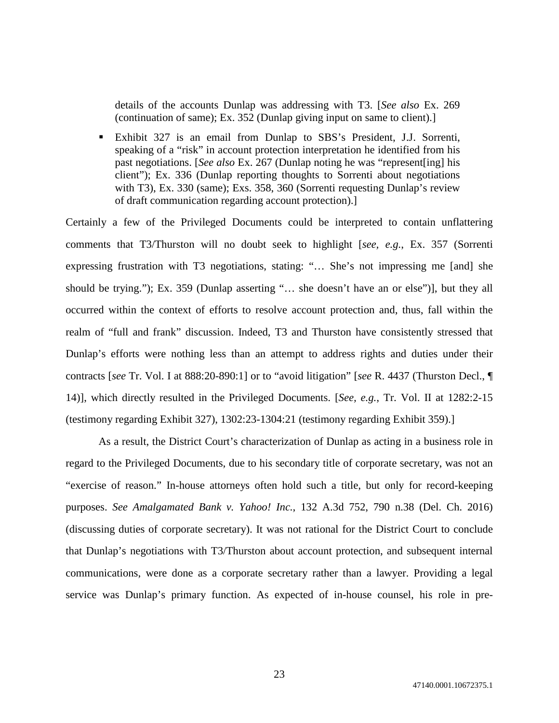details of the accounts Dunlap was addressing with T3. [*See also* Ex. 269 (continuation of same); Ex. 352 (Dunlap giving input on same to client).]

 Exhibit 327 is an email from Dunlap to SBS's President, J.J. Sorrenti, speaking of a "risk" in account protection interpretation he identified from his past negotiations. [*See also* Ex. 267 (Dunlap noting he was "represent[ing] his client"); Ex. 336 (Dunlap reporting thoughts to Sorrenti about negotiations with T3), Ex. 330 (same); Exs. 358, 360 (Sorrenti requesting Dunlap's review of draft communication regarding account protection).]

Certainly a few of the Privileged Documents could be interpreted to contain unflattering comments that T3/Thurston will no doubt seek to highlight [*see, e.g.*, Ex. 357 (Sorrenti expressing frustration with T3 negotiations, stating: "… She's not impressing me [and] she should be trying."); Ex. 359 (Dunlap asserting "… she doesn't have an or else")], but they all occurred within the context of efforts to resolve account protection and, thus, fall within the realm of "full and frank" discussion. Indeed, T3 and Thurston have consistently stressed that Dunlap's efforts were nothing less than an attempt to address rights and duties under their contracts [*see* Tr. Vol. I at 888:20-890:1] or to "avoid litigation" [*see* R. 4437 (Thurston Decl., ¶ 14)], which directly resulted in the Privileged Documents. [*See, e.g.*, Tr. Vol. II at 1282:2-15 (testimony regarding Exhibit 327), 1302:23-1304:21 (testimony regarding Exhibit 359).]

As a result, the District Court's characterization of Dunlap as acting in a business role in regard to the Privileged Documents, due to his secondary title of corporate secretary, was not an "exercise of reason." In-house attorneys often hold such a title, but only for record-keeping purposes. *See Amalgamated Bank v. Yahoo! Inc.*, 132 A.3d 752, 790 n.38 (Del. Ch. 2016) (discussing duties of corporate secretary). It was not rational for the District Court to conclude that Dunlap's negotiations with T3/Thurston about account protection, and subsequent internal communications, were done as a corporate secretary rather than a lawyer. Providing a legal service was Dunlap's primary function. As expected of in-house counsel, his role in pre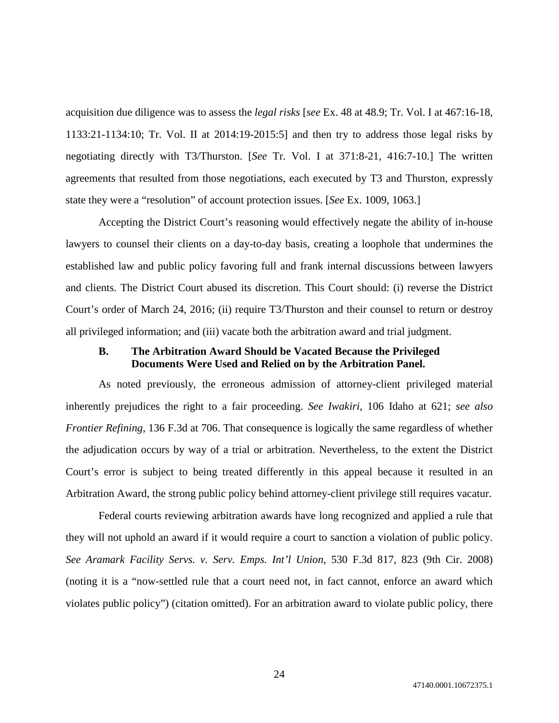acquisition due diligence was to assess the *legal risks* [*see* Ex. 48 at 48.9; Tr. Vol. I at 467:16-18, 1133:21-1134:10; Tr. Vol. II at 2014:19-2015:5] and then try to address those legal risks by negotiating directly with T3/Thurston. [*See* Tr. Vol. I at 371:8-21, 416:7-10.] The written agreements that resulted from those negotiations, each executed by T3 and Thurston, expressly state they were a "resolution" of account protection issues. [*See* Ex. 1009, 1063.]

Accepting the District Court's reasoning would effectively negate the ability of in-house lawyers to counsel their clients on a day-to-day basis, creating a loophole that undermines the established law and public policy favoring full and frank internal discussions between lawyers and clients. The District Court abused its discretion. This Court should: (i) reverse the District Court's order of March 24, 2016; (ii) require T3/Thurston and their counsel to return or destroy all privileged information; and (iii) vacate both the arbitration award and trial judgment.

# **B. The Arbitration Award Should be Vacated Because the Privileged Documents Were Used and Relied on by the Arbitration Panel.**

As noted previously, the erroneous admission of attorney-client privileged material inherently prejudices the right to a fair proceeding. *See Iwakiri*, 106 Idaho at 621; *see also Frontier Refining*, 136 F.3d at 706. That consequence is logically the same regardless of whether the adjudication occurs by way of a trial or arbitration. Nevertheless, to the extent the District Court's error is subject to being treated differently in this appeal because it resulted in an Arbitration Award, the strong public policy behind attorney-client privilege still requires vacatur.

Federal courts reviewing arbitration awards have long recognized and applied a rule that they will not uphold an award if it would require a court to sanction a violation of public policy. *See Aramark Facility Servs. v. Serv. Emps. Int'l Union*, 530 F.3d 817, 823 (9th Cir. 2008) (noting it is a "now-settled rule that a court need not, in fact cannot, enforce an award which violates public policy") (citation omitted). For an arbitration award to violate public policy, there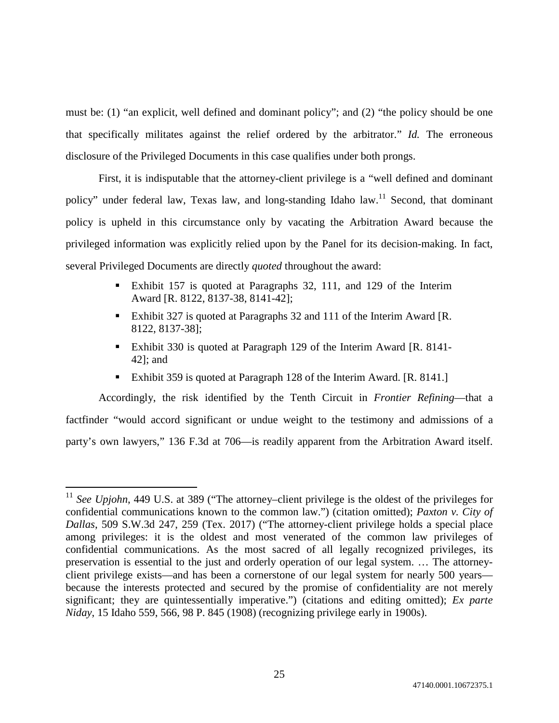must be: (1) "an explicit, well defined and dominant policy"; and (2) "the policy should be one that specifically militates against the relief ordered by the arbitrator." *Id.* The erroneous disclosure of the Privileged Documents in this case qualifies under both prongs.

First, it is indisputable that the attorney-client privilege is a "well defined and dominant policy" under federal law, Texas law, and long-standing Idaho law.<sup>11</sup> Second, that dominant policy is upheld in this circumstance only by vacating the Arbitration Award because the privileged information was explicitly relied upon by the Panel for its decision-making. In fact, several Privileged Documents are directly *quoted* throughout the award:

- Exhibit 157 is quoted at Paragraphs 32, 111, and 129 of the Interim Award [R. 8122, 8137-38, 8141-42];
- Exhibit 327 is quoted at Paragraphs 32 and 111 of the Interim Award [R. 8122, 8137-38];
- Exhibit 330 is quoted at Paragraph 129 of the Interim Award [R. 8141- 42]; and
- Exhibit 359 is quoted at Paragraph 128 of the Interim Award. [R. 8141.]

Accordingly, the risk identified by the Tenth Circuit in *Frontier Refining*—that a factfinder "would accord significant or undue weight to the testimony and admissions of a party's own lawyers," 136 F.3d at 706—is readily apparent from the Arbitration Award itself.

<sup>&</sup>lt;sup>11</sup> See Upjohn, 449 U.S. at 389 ("The attorney–client privilege is the oldest of the privileges for confidential communications known to the common law.") (citation omitted); *Paxton v. City of Dallas*, 509 S.W.3d 247, 259 (Tex. 2017) ("The attorney-client privilege holds a special place among privileges: it is the oldest and most venerated of the common law privileges of confidential communications. As the most sacred of all legally recognized privileges, its preservation is essential to the just and orderly operation of our legal system. … The attorneyclient privilege exists—and has been a cornerstone of our legal system for nearly 500 years because the interests protected and secured by the promise of confidentiality are not merely significant; they are quintessentially imperative.") (citations and editing omitted); *Ex parte Niday*, 15 Idaho 559, 566, 98 P. 845 (1908) (recognizing privilege early in 1900s).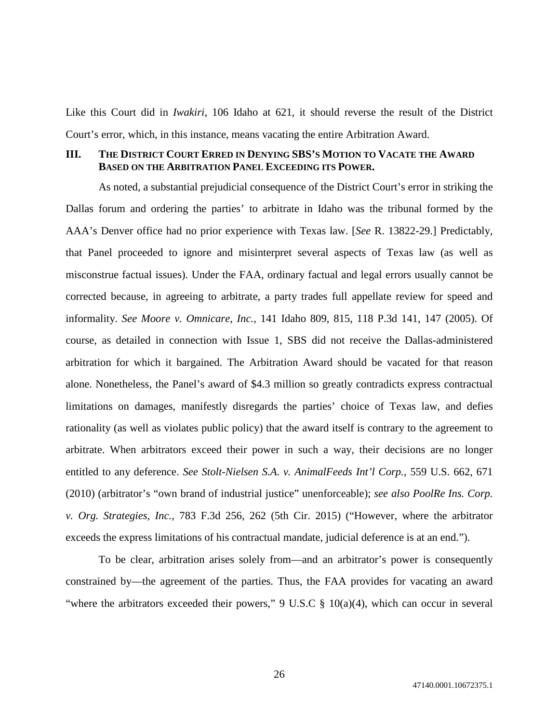Like this Court did in *Iwakiri*, 106 Idaho at 621, it should reverse the result of the District Court's error, which, in this instance, means vacating the entire Arbitration Award.

### **III. THE DISTRICT COURT ERRED IN DENYING SBS'S MOTION TO VACATE THE AWARD BASED ON THE ARBITRATION PANEL EXCEEDING ITS POWER.**

As noted, a substantial prejudicial consequence of the District Court's error in striking the Dallas forum and ordering the parties' to arbitrate in Idaho was the tribunal formed by the AAA's Denver office had no prior experience with Texas law. [*See* R. 13822-29.] Predictably, that Panel proceeded to ignore and misinterpret several aspects of Texas law (as well as misconstrue factual issues). Under the FAA, ordinary factual and legal errors usually cannot be corrected because, in agreeing to arbitrate, a party trades full appellate review for speed and informality. *See Moore v. Omnicare, Inc.*, 141 Idaho 809, 815, 118 P.3d 141, 147 (2005). Of course, as detailed in connection with Issue 1, SBS did not receive the Dallas-administered arbitration for which it bargained. The Arbitration Award should be vacated for that reason alone. Nonetheless, the Panel's award of \$4.3 million so greatly contradicts express contractual limitations on damages, manifestly disregards the parties' choice of Texas law, and defies rationality (as well as violates public policy) that the award itself is contrary to the agreement to arbitrate. When arbitrators exceed their power in such a way, their decisions are no longer entitled to any deference. *See Stolt-Nielsen S.A. v. AnimalFeeds Int'l Corp.*, 559 U.S. 662, 671 (2010) (arbitrator's "own brand of industrial justice" unenforceable); *see also PoolRe Ins. Corp. v. Org. Strategies, Inc.*, 783 F.3d 256, 262 (5th Cir. 2015) ("However, where the arbitrator exceeds the express limitations of his contractual mandate, judicial deference is at an end.").

To be clear, arbitration arises solely from—and an arbitrator's power is consequently constrained by—the agreement of the parties. Thus, the FAA provides for vacating an award "where the arbitrators exceeded their powers," 9 U.S.C  $\S$  10(a)(4), which can occur in several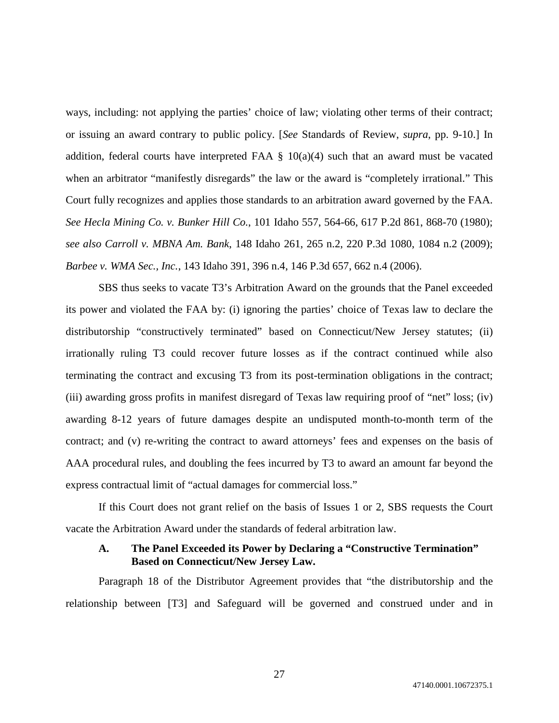ways, including: not applying the parties' choice of law; violating other terms of their contract; or issuing an award contrary to public policy. [*See* Standards of Review, *supra*, pp. 9-10.] In addition, federal courts have interpreted FAA  $\S$  10(a)(4) such that an award must be vacated when an arbitrator "manifestly disregards" the law or the award is "completely irrational." This Court fully recognizes and applies those standards to an arbitration award governed by the FAA. *See Hecla Mining Co. v. Bunker Hill Co.*, 101 Idaho 557, 564-66, 617 P.2d 861, 868-70 (1980); *see also Carroll v. MBNA Am. Bank*, 148 Idaho 261, 265 n.2, 220 P.3d 1080, 1084 n.2 (2009); *Barbee v. WMA Sec., Inc.*, 143 Idaho 391, 396 n.4, 146 P.3d 657, 662 n.4 (2006).

SBS thus seeks to vacate T3's Arbitration Award on the grounds that the Panel exceeded its power and violated the FAA by: (i) ignoring the parties' choice of Texas law to declare the distributorship "constructively terminated" based on Connecticut/New Jersey statutes; (ii) irrationally ruling T3 could recover future losses as if the contract continued while also terminating the contract and excusing T3 from its post-termination obligations in the contract; (iii) awarding gross profits in manifest disregard of Texas law requiring proof of "net" loss; (iv) awarding 8-12 years of future damages despite an undisputed month-to-month term of the contract; and (v) re-writing the contract to award attorneys' fees and expenses on the basis of AAA procedural rules, and doubling the fees incurred by T3 to award an amount far beyond the express contractual limit of "actual damages for commercial loss."

If this Court does not grant relief on the basis of Issues 1 or 2, SBS requests the Court vacate the Arbitration Award under the standards of federal arbitration law.

# **A. The Panel Exceeded its Power by Declaring a "Constructive Termination" Based on Connecticut/New Jersey Law.**

Paragraph 18 of the Distributor Agreement provides that "the distributorship and the relationship between [T3] and Safeguard will be governed and construed under and in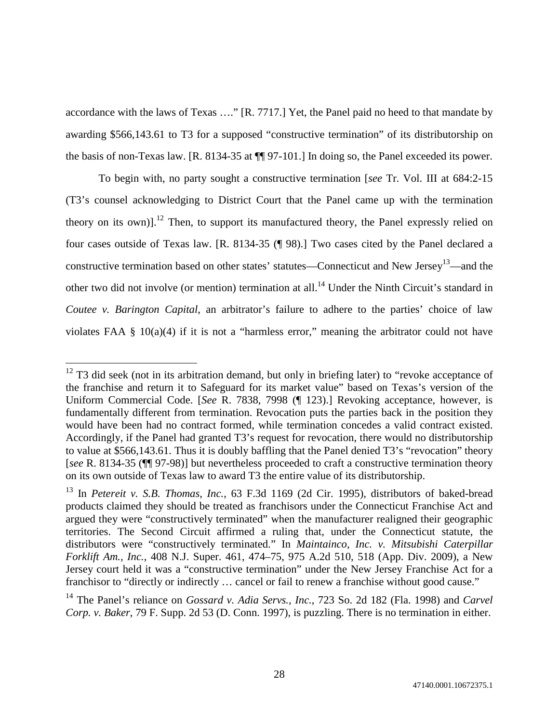accordance with the laws of Texas …." [R. 7717.] Yet, the Panel paid no heed to that mandate by awarding \$566,143.61 to T3 for a supposed "constructive termination" of its distributorship on the basis of non-Texas law. [R. 8134-35 at ¶¶ 97-101.] In doing so, the Panel exceeded its power.

To begin with, no party sought a constructive termination [*see* Tr. Vol. III at 684:2-15 (T3's counsel acknowledging to District Court that the Panel came up with the termination theory on its own)].<sup>12</sup> Then, to support its manufactured theory, the Panel expressly relied on four cases outside of Texas law. [R. 8134-35 (¶ 98).] Two cases cited by the Panel declared a constructive termination based on other states' statutes—Connecticut and New Jersey<sup>13</sup>—and the other two did not involve (or mention) termination at all.<sup>14</sup> Under the Ninth Circuit's standard in *Coutee v. Barington Capital*, an arbitrator's failure to adhere to the parties' choice of law violates FAA § 10(a)(4) if it is not a "harmless error," meaning the arbitrator could not have

 $12$  T3 did seek (not in its arbitration demand, but only in briefing later) to "revoke acceptance of the franchise and return it to Safeguard for its market value" based on Texas's version of the Uniform Commercial Code. [*See* R. 7838, 7998 (¶ 123).] Revoking acceptance, however, is fundamentally different from termination. Revocation puts the parties back in the position they would have been had no contract formed, while termination concedes a valid contract existed. Accordingly, if the Panel had granted T3's request for revocation, there would no distributorship to value at \$566,143.61. Thus it is doubly baffling that the Panel denied T3's "revocation" theory [*see* R. 8134-35 (¶¶ 97-98)] but nevertheless proceeded to craft a constructive termination theory on its own outside of Texas law to award T3 the entire value of its distributorship.

<sup>13</sup> In *Petereit v. S.B. Thomas, Inc.*, 63 F.3d 1169 (2d Cir. 1995), distributors of baked-bread products claimed they should be treated as franchisors under the Connecticut Franchise Act and argued they were "constructively terminated" when the manufacturer realigned their geographic territories. The Second Circuit affirmed a ruling that, under the Connecticut statute, the distributors were "constructively terminated." In *Maintainco, Inc. v. Mitsubishi Caterpillar Forklift Am., Inc.*, 408 N.J. Super. 461, 474–75, 975 A.2d 510, 518 (App. Div. 2009), a New Jersey court held it was a "constructive termination" under the New Jersey Franchise Act for a franchisor to "directly or indirectly … cancel or fail to renew a franchise without good cause."

<sup>14</sup> The Panel's reliance on *Gossard v. Adia Servs., Inc.*, 723 So. 2d 182 (Fla. 1998) and *Carvel Corp. v. Baker*, 79 F. Supp. 2d 53 (D. Conn. 1997), is puzzling. There is no termination in either.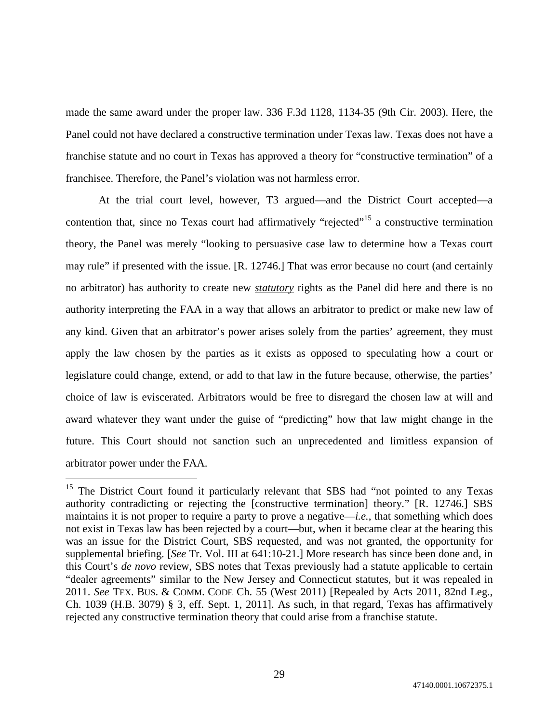made the same award under the proper law. 336 F.3d 1128, 1134-35 (9th Cir. 2003). Here, the Panel could not have declared a constructive termination under Texas law. Texas does not have a franchise statute and no court in Texas has approved a theory for "constructive termination" of a franchisee. Therefore, the Panel's violation was not harmless error.

At the trial court level, however, T3 argued—and the District Court accepted—a contention that, since no Texas court had affirmatively "rejected"<sup>15</sup> a constructive termination theory, the Panel was merely "looking to persuasive case law to determine how a Texas court may rule" if presented with the issue. [R. 12746.] That was error because no court (and certainly no arbitrator) has authority to create new *statutory* rights as the Panel did here and there is no authority interpreting the FAA in a way that allows an arbitrator to predict or make new law of any kind. Given that an arbitrator's power arises solely from the parties' agreement, they must apply the law chosen by the parties as it exists as opposed to speculating how a court or legislature could change, extend, or add to that law in the future because, otherwise, the parties' choice of law is eviscerated. Arbitrators would be free to disregard the chosen law at will and award whatever they want under the guise of "predicting" how that law might change in the future. This Court should not sanction such an unprecedented and limitless expansion of arbitrator power under the FAA.

<sup>&</sup>lt;sup>15</sup> The District Court found it particularly relevant that SBS had "not pointed to any Texas authority contradicting or rejecting the [constructive termination] theory." [R. 12746.] SBS maintains it is not proper to require a party to prove a negative—*i.e.*, that something which does not exist in Texas law has been rejected by a court—but, when it became clear at the hearing this was an issue for the District Court, SBS requested, and was not granted, the opportunity for supplemental briefing. [*See* Tr. Vol. III at 641:10-21.] More research has since been done and, in this Court's *de novo* review, SBS notes that Texas previously had a statute applicable to certain "dealer agreements" similar to the New Jersey and Connecticut statutes, but it was repealed in 2011. *See* TEX. BUS. & COMM. CODE Ch. 55 (West 2011) [Repealed by Acts 2011, 82nd Leg., Ch. 1039 (H.B. 3079) § 3, eff. Sept. 1, 2011]. As such, in that regard, Texas has affirmatively rejected any constructive termination theory that could arise from a franchise statute.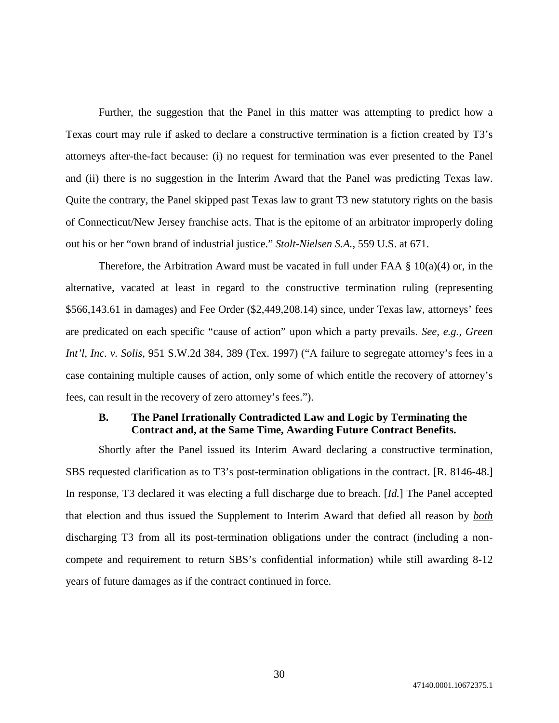Further, the suggestion that the Panel in this matter was attempting to predict how a Texas court may rule if asked to declare a constructive termination is a fiction created by T3's attorneys after-the-fact because: (i) no request for termination was ever presented to the Panel and (ii) there is no suggestion in the Interim Award that the Panel was predicting Texas law. Quite the contrary, the Panel skipped past Texas law to grant T3 new statutory rights on the basis of Connecticut/New Jersey franchise acts. That is the epitome of an arbitrator improperly doling out his or her "own brand of industrial justice." *Stolt-Nielsen S.A.*, 559 U.S. at 671.

Therefore, the Arbitration Award must be vacated in full under FAA  $\S$  10(a)(4) or, in the alternative, vacated at least in regard to the constructive termination ruling (representing \$566,143.61 in damages) and Fee Order (\$2,449,208.14) since, under Texas law, attorneys' fees are predicated on each specific "cause of action" upon which a party prevails. *See, e.g.*, *Green Int'l, Inc. v. Solis*, 951 S.W.2d 384, 389 (Tex. 1997) ("A failure to segregate attorney's fees in a case containing multiple causes of action, only some of which entitle the recovery of attorney's fees, can result in the recovery of zero attorney's fees.").

# **B. The Panel Irrationally Contradicted Law and Logic by Terminating the Contract and, at the Same Time, Awarding Future Contract Benefits.**

Shortly after the Panel issued its Interim Award declaring a constructive termination, SBS requested clarification as to T3's post-termination obligations in the contract. [R. 8146-48.] In response, T3 declared it was electing a full discharge due to breach. [*Id.*] The Panel accepted that election and thus issued the Supplement to Interim Award that defied all reason by *both* discharging T3 from all its post-termination obligations under the contract (including a noncompete and requirement to return SBS's confidential information) while still awarding 8-12 years of future damages as if the contract continued in force.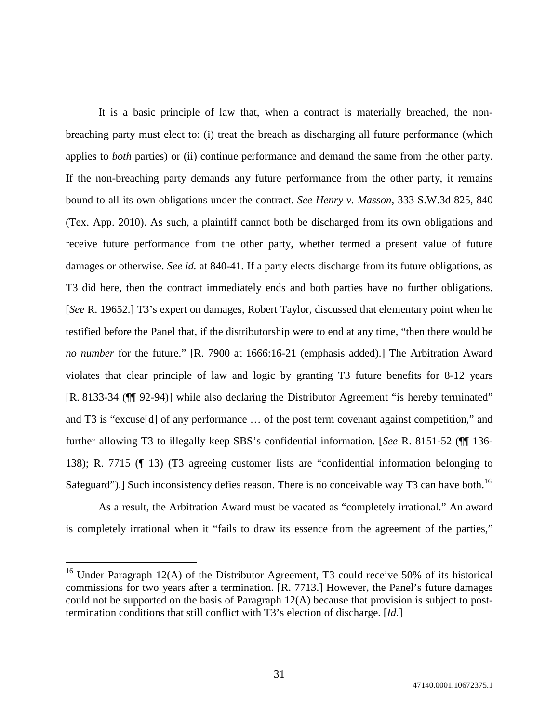It is a basic principle of law that, when a contract is materially breached, the nonbreaching party must elect to: (i) treat the breach as discharging all future performance (which applies to *both* parties) or (ii) continue performance and demand the same from the other party. If the non-breaching party demands any future performance from the other party, it remains bound to all its own obligations under the contract. *See Henry v. Masson*, 333 S.W.3d 825, 840 (Tex. App. 2010). As such, a plaintiff cannot both be discharged from its own obligations and receive future performance from the other party, whether termed a present value of future damages or otherwise. *See id.* at 840-41. If a party elects discharge from its future obligations, as T3 did here, then the contract immediately ends and both parties have no further obligations. [*See* R. 19652.] T3's expert on damages, Robert Taylor, discussed that elementary point when he testified before the Panel that, if the distributorship were to end at any time, "then there would be *no number* for the future." [R. 7900 at 1666:16-21 (emphasis added).] The Arbitration Award violates that clear principle of law and logic by granting T3 future benefits for 8-12 years [R. 8133-34 (¶¶ 92-94)] while also declaring the Distributor Agreement "is hereby terminated" and T3 is "excuse[d] of any performance … of the post term covenant against competition," and further allowing T3 to illegally keep SBS's confidential information. [*See* R. 8151-52 (¶¶ 136- 138); R. 7715 (¶ 13) (T3 agreeing customer lists are "confidential information belonging to Safeguard").] Such inconsistency defies reason. There is no conceivable way T3 can have both.<sup>16</sup>

As a result, the Arbitration Award must be vacated as "completely irrational." An award is completely irrational when it "fails to draw its essence from the agreement of the parties,"

<sup>&</sup>lt;sup>16</sup> Under Paragraph 12(A) of the Distributor Agreement, T3 could receive 50% of its historical commissions for two years after a termination. [R. 7713.] However, the Panel's future damages could not be supported on the basis of Paragraph 12(A) because that provision is subject to posttermination conditions that still conflict with T3's election of discharge. [*Id.*]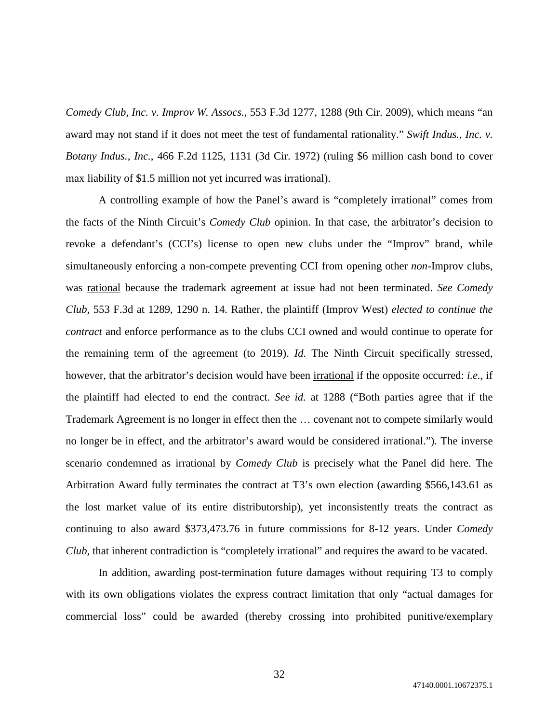*Comedy Club, Inc. v. Improv W. Assocs.*, 553 F.3d 1277, 1288 (9th Cir. 2009), which means "an award may not stand if it does not meet the test of fundamental rationality." *Swift Indus., Inc. v. Botany Indus., Inc.*, 466 F.2d 1125, 1131 (3d Cir. 1972) (ruling \$6 million cash bond to cover max liability of \$1.5 million not yet incurred was irrational).

A controlling example of how the Panel's award is "completely irrational" comes from the facts of the Ninth Circuit's *Comedy Club* opinion. In that case, the arbitrator's decision to revoke a defendant's (CCI's) license to open new clubs under the "Improv" brand, while simultaneously enforcing a non-compete preventing CCI from opening other *non*-Improv clubs, was rational because the trademark agreement at issue had not been terminated. *See Comedy Club*, 553 F.3d at 1289, 1290 n. 14. Rather, the plaintiff (Improv West) *elected to continue the contract* and enforce performance as to the clubs CCI owned and would continue to operate for the remaining term of the agreement (to 2019). *Id.* The Ninth Circuit specifically stressed, however, that the arbitrator's decision would have been irrational if the opposite occurred: *i.e.*, if the plaintiff had elected to end the contract. *See id.* at 1288 ("Both parties agree that if the Trademark Agreement is no longer in effect then the … covenant not to compete similarly would no longer be in effect, and the arbitrator's award would be considered irrational."). The inverse scenario condemned as irrational by *Comedy Club* is precisely what the Panel did here. The Arbitration Award fully terminates the contract at T3's own election (awarding \$566,143.61 as the lost market value of its entire distributorship), yet inconsistently treats the contract as continuing to also award \$373,473.76 in future commissions for 8-12 years. Under *Comedy Club*, that inherent contradiction is "completely irrational" and requires the award to be vacated.

In addition, awarding post-termination future damages without requiring T3 to comply with its own obligations violates the express contract limitation that only "actual damages for commercial loss" could be awarded (thereby crossing into prohibited punitive/exemplary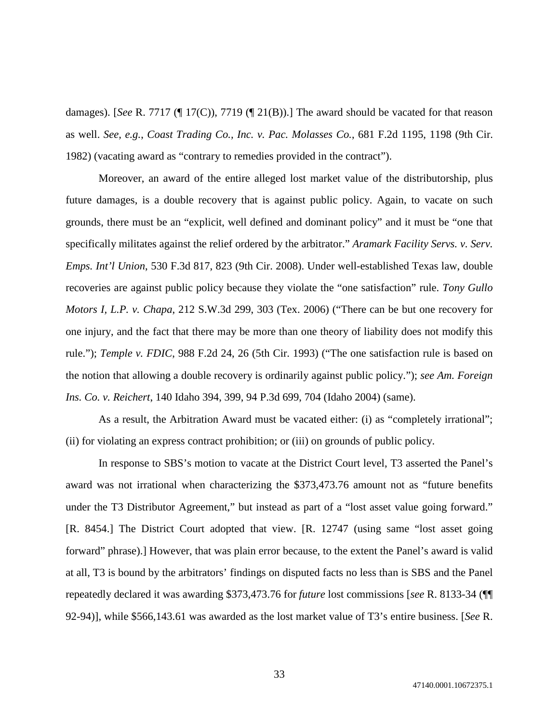damages). [*See* R. 7717 (¶ 17(C)), 7719 (¶ 21(B)).] The award should be vacated for that reason as well. *See, e.g.*, *Coast Trading Co., Inc. v. Pac. Molasses Co.*, 681 F.2d 1195, 1198 (9th Cir. 1982) (vacating award as "contrary to remedies provided in the contract").

Moreover, an award of the entire alleged lost market value of the distributorship, plus future damages, is a double recovery that is against public policy. Again, to vacate on such grounds, there must be an "explicit, well defined and dominant policy" and it must be "one that specifically militates against the relief ordered by the arbitrator." *Aramark Facility Servs. v. Serv. Emps. Int'l Union*, 530 F.3d 817, 823 (9th Cir. 2008). Under well-established Texas law, double recoveries are against public policy because they violate the "one satisfaction" rule. *Tony Gullo Motors I, L.P. v. Chapa*, 212 S.W.3d 299, 303 (Tex. 2006) ("There can be but one recovery for one injury, and the fact that there may be more than one theory of liability does not modify this rule."); *Temple v. FDIC*, 988 F.2d 24, 26 (5th Cir. 1993) ("The one satisfaction rule is based on the notion that allowing a double recovery is ordinarily against public policy."); *see Am. Foreign Ins. Co. v. Reichert*, 140 Idaho 394, 399, 94 P.3d 699, 704 (Idaho 2004) (same).

As a result, the Arbitration Award must be vacated either: (i) as "completely irrational"; (ii) for violating an express contract prohibition; or (iii) on grounds of public policy.

In response to SBS's motion to vacate at the District Court level, T3 asserted the Panel's award was not irrational when characterizing the \$373,473.76 amount not as "future benefits under the T3 Distributor Agreement," but instead as part of a "lost asset value going forward." [R. 8454.] The District Court adopted that view. [R. 12747 (using same "lost asset going forward" phrase).] However, that was plain error because, to the extent the Panel's award is valid at all, T3 is bound by the arbitrators' findings on disputed facts no less than is SBS and the Panel repeatedly declared it was awarding \$373,473.76 for *future* lost commissions [*see* R. 8133-34 (¶¶ 92-94)], while \$566,143.61 was awarded as the lost market value of T3's entire business. [*See* R.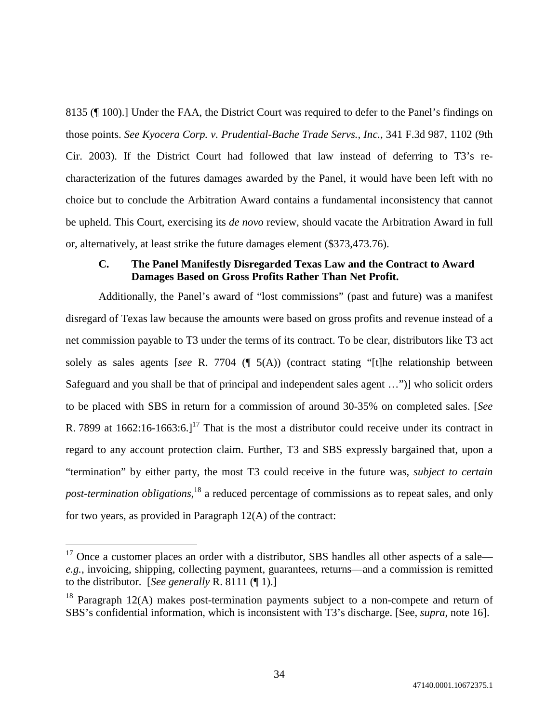8135 (¶ 100).] Under the FAA, the District Court was required to defer to the Panel's findings on those points. *See Kyocera Corp. v. Prudential-Bache Trade Servs., Inc.*, 341 F.3d 987, 1102 (9th Cir. 2003). If the District Court had followed that law instead of deferring to T3's recharacterization of the futures damages awarded by the Panel, it would have been left with no choice but to conclude the Arbitration Award contains a fundamental inconsistency that cannot be upheld. This Court, exercising its *de novo* review, should vacate the Arbitration Award in full or, alternatively, at least strike the future damages element (\$373,473.76).

# **C. The Panel Manifestly Disregarded Texas Law and the Contract to Award Damages Based on Gross Profits Rather Than Net Profit.**

Additionally, the Panel's award of "lost commissions" (past and future) was a manifest disregard of Texas law because the amounts were based on gross profits and revenue instead of a net commission payable to T3 under the terms of its contract. To be clear, distributors like T3 act solely as sales agents [*see* R. 7704 (¶ 5(A)) (contract stating "[t]he relationship between Safeguard and you shall be that of principal and independent sales agent …")] who solicit orders to be placed with SBS in return for a commission of around 30-35% on completed sales. [*See* R. 7899 at  $1662:16-1663:6.1^{17}$  That is the most a distributor could receive under its contract in regard to any account protection claim. Further, T3 and SBS expressly bargained that, upon a "termination" by either party, the most T3 could receive in the future was, *subject to certain post-termination obligations*, <sup>18</sup> a reduced percentage of commissions as to repeat sales, and only for two years, as provided in Paragraph 12(A) of the contract:

 $17$  Once a customer places an order with a distributor, SBS handles all other aspects of a sale *e.g.*, invoicing, shipping, collecting payment, guarantees, returns—and a commission is remitted to the distributor. [*See generally* R. 8111 (¶ 1).]

 $18$  Paragraph 12(A) makes post-termination payments subject to a non-compete and return of SBS's confidential information, which is inconsistent with T3's discharge. [See, *supra*, note 16].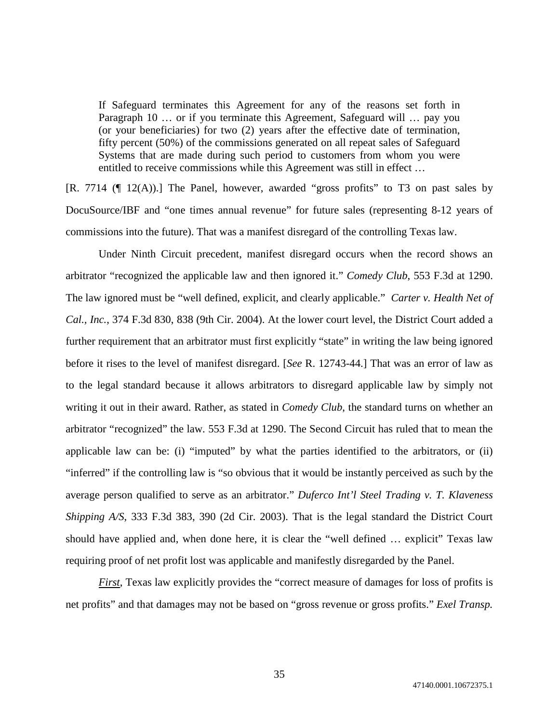If Safeguard terminates this Agreement for any of the reasons set forth in Paragraph 10 … or if you terminate this Agreement, Safeguard will … pay you (or your beneficiaries) for two (2) years after the effective date of termination, fifty percent (50%) of the commissions generated on all repeat sales of Safeguard Systems that are made during such period to customers from whom you were entitled to receive commissions while this Agreement was still in effect …

[R. 7714 (¶ 12(A)).] The Panel, however, awarded "gross profits" to T3 on past sales by DocuSource/IBF and "one times annual revenue" for future sales (representing 8-12 years of commissions into the future). That was a manifest disregard of the controlling Texas law.

Under Ninth Circuit precedent, manifest disregard occurs when the record shows an arbitrator "recognized the applicable law and then ignored it." *Comedy Club*, 553 F.3d at 1290. The law ignored must be "well defined, explicit, and clearly applicable." *Carter v. Health Net of Cal., Inc.*, 374 F.3d 830, 838 (9th Cir. 2004). At the lower court level, the District Court added a further requirement that an arbitrator must first explicitly "state" in writing the law being ignored before it rises to the level of manifest disregard. [*See* R. 12743-44.] That was an error of law as to the legal standard because it allows arbitrators to disregard applicable law by simply not writing it out in their award. Rather, as stated in *Comedy Club*, the standard turns on whether an arbitrator "recognized" the law. 553 F.3d at 1290. The Second Circuit has ruled that to mean the applicable law can be: (i) "imputed" by what the parties identified to the arbitrators, or (ii) "inferred" if the controlling law is "so obvious that it would be instantly perceived as such by the average person qualified to serve as an arbitrator." *Duferco Int'l Steel Trading v. T. Klaveness Shipping A/S*, 333 F.3d 383, 390 (2d Cir. 2003). That is the legal standard the District Court should have applied and, when done here, it is clear the "well defined … explicit" Texas law requiring proof of net profit lost was applicable and manifestly disregarded by the Panel.

*First*, Texas law explicitly provides the "correct measure of damages for loss of profits is net profits" and that damages may not be based on "gross revenue or gross profits." *Exel Transp.*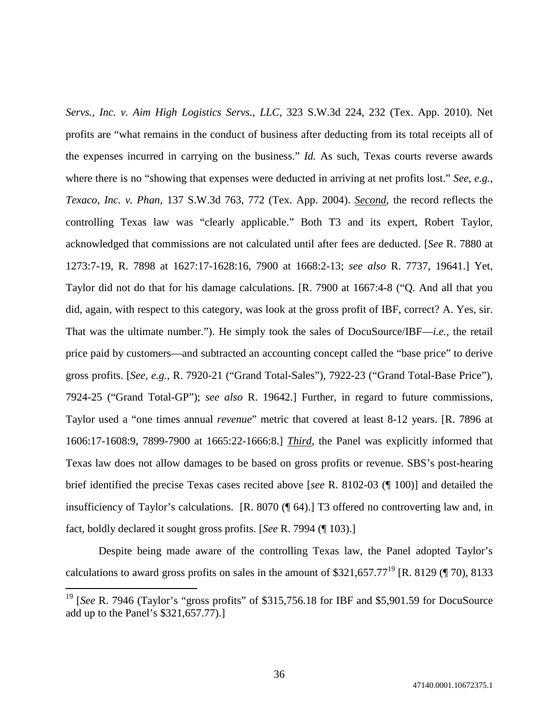*Servs., Inc. v. Aim High Logistics Servs., LLC*, 323 S.W.3d 224, 232 (Tex. App. 2010). Net profits are "what remains in the conduct of business after deducting from its total receipts all of the expenses incurred in carrying on the business." *Id.* As such, Texas courts reverse awards where there is no "showing that expenses were deducted in arriving at net profits lost." *See, e.g.*, *Texaco, Inc. v. Phan*, 137 S.W.3d 763, 772 (Tex. App. 2004). *Second*, the record reflects the controlling Texas law was "clearly applicable." Both T3 and its expert, Robert Taylor, acknowledged that commissions are not calculated until after fees are deducted. [*See* R. 7880 at 1273:7-19, R. 7898 at 1627:17-1628:16, 7900 at 1668:2-13; *see also* R. 7737, 19641.] Yet, Taylor did not do that for his damage calculations. [R. 7900 at 1667:4-8 ("Q. And all that you did, again, with respect to this category, was look at the gross profit of IBF, correct? A. Yes, sir. That was the ultimate number."). He simply took the sales of DocuSource/IBF—*i.e.*, the retail price paid by customers—and subtracted an accounting concept called the "base price" to derive gross profits. [*See, e.g.*, R. 7920-21 ("Grand Total-Sales"), 7922-23 ("Grand Total-Base Price"), 7924-25 ("Grand Total-GP"); *see also* R. 19642.] Further, in regard to future commissions, Taylor used a "one times annual *revenue*" metric that covered at least 8-12 years. [R. 7896 at 1606:17-1608:9, 7899-7900 at 1665:22-1666:8.] *Third*, the Panel was explicitly informed that Texas law does not allow damages to be based on gross profits or revenue. SBS's post-hearing brief identified the precise Texas cases recited above [*see* R. 8102-03 (¶ 100)] and detailed the insufficiency of Taylor's calculations. [R. 8070 (¶ 64).] T3 offered no controverting law and, in fact, boldly declared it sought gross profits. [*See* R. 7994 (¶ 103).]

Despite being made aware of the controlling Texas law, the Panel adopted Taylor's calculations to award gross profits on sales in the amount of \$321,657.77<sup>19</sup> [R. 8129 (¶ 70), 8133

<sup>&</sup>lt;sup>19</sup> [See R. 7946 (Taylor's "gross profits" of \$315,756.18 for IBF and \$5,901.59 for DocuSource add up to the Panel's \$321,657.77).]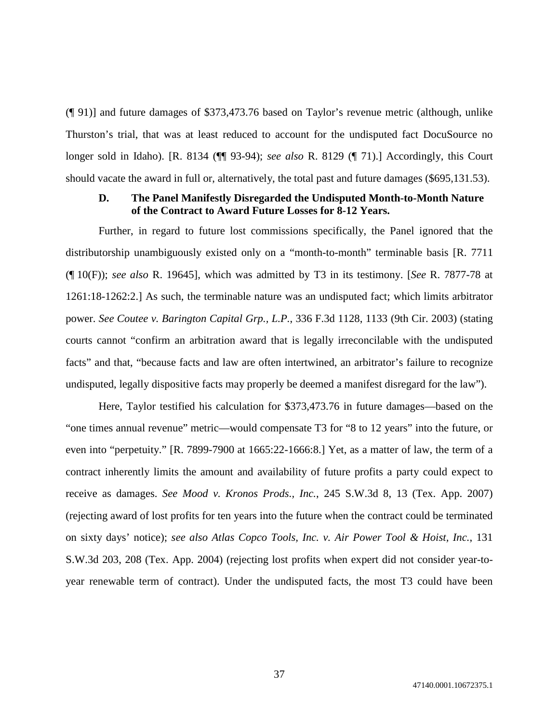(¶ 91)] and future damages of \$373,473.76 based on Taylor's revenue metric (although, unlike Thurston's trial, that was at least reduced to account for the undisputed fact DocuSource no longer sold in Idaho). [R. 8134 (¶¶ 93-94); *see also* R. 8129 (¶ 71).] Accordingly, this Court should vacate the award in full or, alternatively, the total past and future damages (\$695,131.53).

# **D. The Panel Manifestly Disregarded the Undisputed Month-to-Month Nature of the Contract to Award Future Losses for 8-12 Years.**

Further, in regard to future lost commissions specifically, the Panel ignored that the distributorship unambiguously existed only on a "month-to-month" terminable basis [R. 7711 (¶ 10(F)); *see also* R. 19645], which was admitted by T3 in its testimony. [*See* R. 7877-78 at 1261:18-1262:2.] As such, the terminable nature was an undisputed fact; which limits arbitrator power. *See Coutee v. Barington Capital Grp., L.P.*, 336 F.3d 1128, 1133 (9th Cir. 2003) (stating courts cannot "confirm an arbitration award that is legally irreconcilable with the undisputed facts" and that, "because facts and law are often intertwined, an arbitrator's failure to recognize undisputed, legally dispositive facts may properly be deemed a manifest disregard for the law").

Here, Taylor testified his calculation for \$373,473.76 in future damages—based on the "one times annual revenue" metric—would compensate T3 for "8 to 12 years" into the future, or even into "perpetuity." [R. 7899-7900 at 1665:22-1666:8.] Yet, as a matter of law, the term of a contract inherently limits the amount and availability of future profits a party could expect to receive as damages. *See Mood v. Kronos Prods., Inc.*, 245 S.W.3d 8, 13 (Tex. App. 2007) (rejecting award of lost profits for ten years into the future when the contract could be terminated on sixty days' notice); *see also Atlas Copco Tools, Inc. v. Air Power Tool & Hoist, Inc.*, 131 S.W.3d 203, 208 (Tex. App. 2004) (rejecting lost profits when expert did not consider year-toyear renewable term of contract). Under the undisputed facts, the most T3 could have been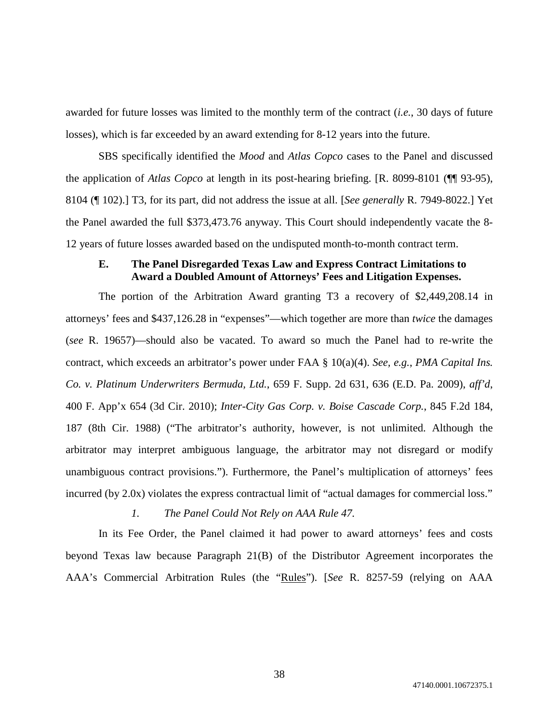awarded for future losses was limited to the monthly term of the contract (*i.e.*, 30 days of future losses), which is far exceeded by an award extending for 8-12 years into the future.

SBS specifically identified the *Mood* and *Atlas Copco* cases to the Panel and discussed the application of *Atlas Copco* at length in its post-hearing briefing. [R. 8099-8101 (¶¶ 93-95), 8104 (¶ 102).] T3, for its part, did not address the issue at all. [*See generally* R. 7949-8022.] Yet the Panel awarded the full \$373,473.76 anyway. This Court should independently vacate the 8- 12 years of future losses awarded based on the undisputed month-to-month contract term.

# **E. The Panel Disregarded Texas Law and Express Contract Limitations to Award a Doubled Amount of Attorneys' Fees and Litigation Expenses.**

The portion of the Arbitration Award granting T3 a recovery of \$2,449,208.14 in attorneys' fees and \$437,126.28 in "expenses"—which together are more than *twice* the damages (*see* R. 19657)—should also be vacated. To award so much the Panel had to re-write the contract, which exceeds an arbitrator's power under FAA § 10(a)(4). *See, e.g.*, *PMA Capital Ins. Co. v. Platinum Underwriters Bermuda, Ltd.*, 659 F. Supp. 2d 631, 636 (E.D. Pa. 2009), *aff'd*, 400 F. App'x 654 (3d Cir. 2010); *Inter-City Gas Corp. v. Boise Cascade Corp.*, 845 F.2d 184, 187 (8th Cir. 1988) ("The arbitrator's authority, however, is not unlimited. Although the arbitrator may interpret ambiguous language, the arbitrator may not disregard or modify unambiguous contract provisions."). Furthermore, the Panel's multiplication of attorneys' fees incurred (by 2.0x) violates the express contractual limit of "actual damages for commercial loss."

### *1. The Panel Could Not Rely on AAA Rule 47.*

In its Fee Order, the Panel claimed it had power to award attorneys' fees and costs beyond Texas law because Paragraph 21(B) of the Distributor Agreement incorporates the AAA's Commercial Arbitration Rules (the "Rules"). [*See* R. 8257-59 (relying on AAA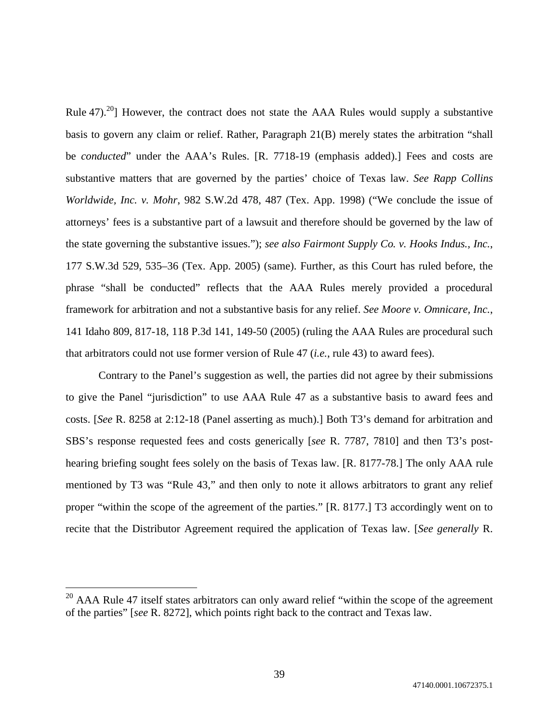Rule 47).<sup>20</sup>] However, the contract does not state the AAA Rules would supply a substantive basis to govern any claim or relief. Rather, Paragraph 21(B) merely states the arbitration "shall be *conducted*" under the AAA's Rules. [R. 7718-19 (emphasis added).] Fees and costs are substantive matters that are governed by the parties' choice of Texas law. *See Rapp Collins Worldwide, Inc. v. Mohr*, 982 S.W.2d 478, 487 (Tex. App. 1998) ("We conclude the issue of attorneys' fees is a substantive part of a lawsuit and therefore should be governed by the law of the state governing the substantive issues."); *see also Fairmont Supply Co. v. Hooks Indus., Inc.*, 177 S.W.3d 529, 535–36 (Tex. App. 2005) (same). Further, as this Court has ruled before, the phrase "shall be conducted" reflects that the AAA Rules merely provided a procedural framework for arbitration and not a substantive basis for any relief. *See Moore v. Omnicare, Inc.*, 141 Idaho 809, 817-18, 118 P.3d 141, 149-50 (2005) (ruling the AAA Rules are procedural such that arbitrators could not use former version of Rule 47 (*i.e.*, rule 43) to award fees).

Contrary to the Panel's suggestion as well, the parties did not agree by their submissions to give the Panel "jurisdiction" to use AAA Rule 47 as a substantive basis to award fees and costs. [*See* R. 8258 at 2:12-18 (Panel asserting as much).] Both T3's demand for arbitration and SBS's response requested fees and costs generically [*see* R. 7787, 7810] and then T3's posthearing briefing sought fees solely on the basis of Texas law. [R. 8177-78.] The only AAA rule mentioned by T3 was "Rule 43," and then only to note it allows arbitrators to grant any relief proper "within the scope of the agreement of the parties." [R. 8177.] T3 accordingly went on to recite that the Distributor Agreement required the application of Texas law. [*See generally* R.

<sup>&</sup>lt;sup>20</sup> AAA Rule 47 itself states arbitrators can only award relief "within the scope of the agreement of the parties" [*see* R. 8272], which points right back to the contract and Texas law.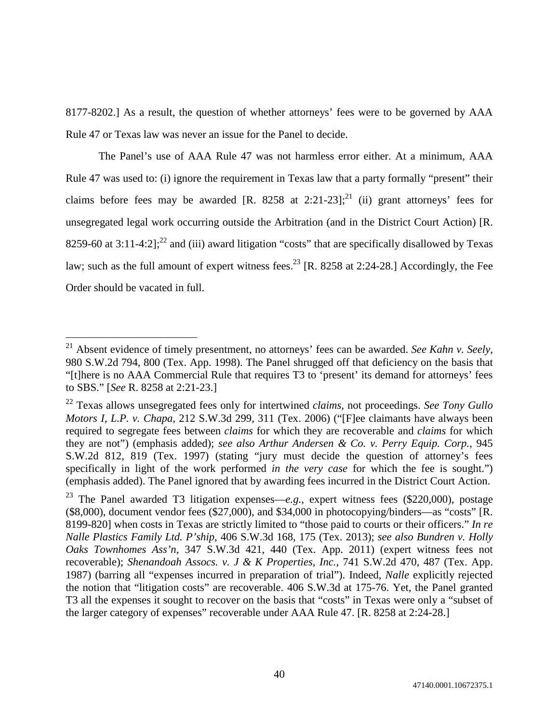8177-8202.] As a result, the question of whether attorneys' fees were to be governed by AAA Rule 47 or Texas law was never an issue for the Panel to decide.

The Panel's use of AAA Rule 47 was not harmless error either. At a minimum, AAA Rule 47 was used to: (i) ignore the requirement in Texas law that a party formally "present" their claims before fees may be awarded [R. 8258 at 2:21-23];<sup>21</sup> (ii) grant attorneys' fees for unsegregated legal work occurring outside the Arbitration (and in the District Court Action) [R. 8259-60 at  $3:11-4:2$ ];<sup>22</sup> and (iii) award litigation "costs" that are specifically disallowed by Texas law; such as the full amount of expert witness fees.<sup>23</sup> [R. 8258 at 2:24-28.] Accordingly, the Fee Order should be vacated in full.

<sup>21</sup> Absent evidence of timely presentment, no attorneys' fees can be awarded. *See Kahn v. Seely*, 980 S.W.2d 794, 800 (Tex. App. 1998). The Panel shrugged off that deficiency on the basis that "[t]here is no AAA Commercial Rule that requires T3 to 'present' its demand for attorneys' fees to SBS." [*See* R. 8258 at 2:21-23.]

<sup>22</sup> Texas allows unsegregated fees only for intertwined *claims*, not proceedings. *See Tony Gullo Motors I, L.P. v. Chapa*, 212 S.W.3d 299, 311 (Tex. 2006) ("[F]ee claimants have always been required to segregate fees between *claims* for which they are recoverable and *claims* for which they are not") (emphasis added); *see also Arthur Andersen & Co. v. Perry Equip. Corp.*, 945 S.W.2d 812, 819 (Tex. 1997) (stating "jury must decide the question of attorney's fees specifically in light of the work performed *in the very case* for which the fee is sought.") (emphasis added). The Panel ignored that by awarding fees incurred in the District Court Action.

<sup>23</sup> The Panel awarded T3 litigation expenses—*e.g.*, expert witness fees (\$220,000), postage (\$8,000), document vendor fees (\$27,000), and \$34,000 in photocopying/binders—as "costs" [R. 8199-820] when costs in Texas are strictly limited to "those paid to courts or their officers." *In re Nalle Plastics Family Ltd. P'ship*, 406 S.W.3d 168, 175 (Tex. 2013); *see also Bundren v. Holly Oaks Townhomes Ass'n*, 347 S.W.3d 421, 440 (Tex. App. 2011) (expert witness fees not recoverable); *Shenandoah Assocs. v. J & K Properties, Inc.*, 741 S.W.2d 470, 487 (Tex. App. 1987) (barring all "expenses incurred in preparation of trial"). Indeed, *Nalle* explicitly rejected the notion that "litigation costs" are recoverable. 406 S.W.3d at 175-76. Yet, the Panel granted T3 all the expenses it sought to recover on the basis that "costs" in Texas were only a "subset of the larger category of expenses" recoverable under AAA Rule 47. [R. 8258 at 2:24-28.]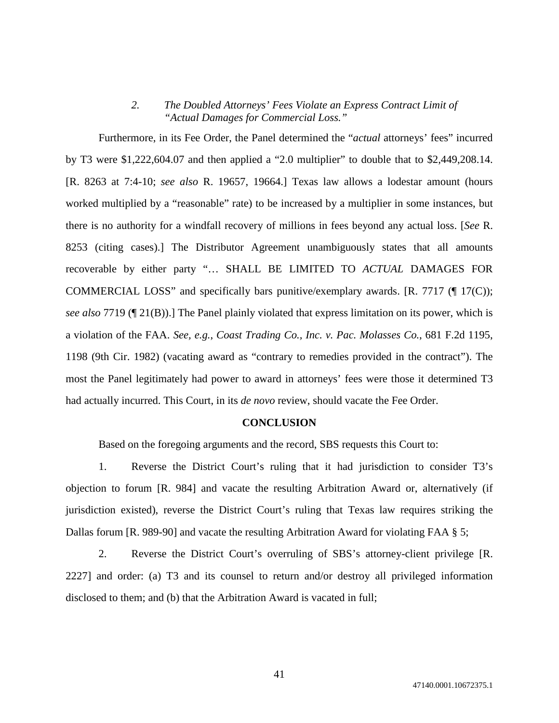# *2. The Doubled Attorneys' Fees Violate an Express Contract Limit of "Actual Damages for Commercial Loss."*

Furthermore, in its Fee Order, the Panel determined the "*actual* attorneys' fees" incurred by T3 were \$1,222,604.07 and then applied a "2.0 multiplier" to double that to \$2,449,208.14. [R. 8263 at 7:4-10; *see also* R. 19657, 19664.] Texas law allows a lodestar amount (hours worked multiplied by a "reasonable" rate) to be increased by a multiplier in some instances, but there is no authority for a windfall recovery of millions in fees beyond any actual loss. [*See* R. 8253 (citing cases).] The Distributor Agreement unambiguously states that all amounts recoverable by either party "… SHALL BE LIMITED TO *ACTUAL* DAMAGES FOR COMMERCIAL LOSS" and specifically bars punitive/exemplary awards. [R. 7717 (¶ 17(C)); *see also* 7719 (¶ 21(B)).] The Panel plainly violated that express limitation on its power, which is a violation of the FAA. *See, e.g.*, *Coast Trading Co., Inc. v. Pac. Molasses Co.*, 681 F.2d 1195, 1198 (9th Cir. 1982) (vacating award as "contrary to remedies provided in the contract"). The most the Panel legitimately had power to award in attorneys' fees were those it determined T3 had actually incurred. This Court, in its *de novo* review, should vacate the Fee Order.

### **CONCLUSION**

Based on the foregoing arguments and the record, SBS requests this Court to:

1. Reverse the District Court's ruling that it had jurisdiction to consider T3's objection to forum [R. 984] and vacate the resulting Arbitration Award or, alternatively (if jurisdiction existed), reverse the District Court's ruling that Texas law requires striking the Dallas forum [R. 989-90] and vacate the resulting Arbitration Award for violating FAA § 5;

2. Reverse the District Court's overruling of SBS's attorney-client privilege [R. 2227] and order: (a) T3 and its counsel to return and/or destroy all privileged information disclosed to them; and (b) that the Arbitration Award is vacated in full;

41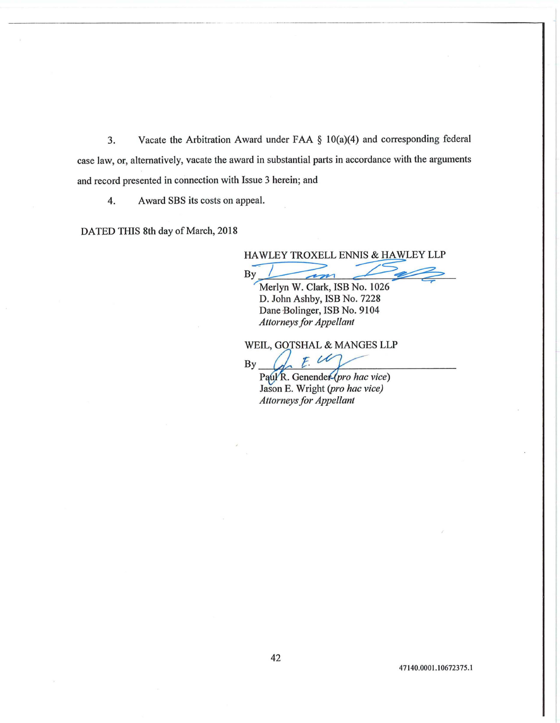3. Vacate the Arbitration Award under FAA § 10(a)(4) and corresponding federal case law, or, alternatively, vacate the award in substantial parts in accordance with the arguments and record presented in connection with Issue 3 herein; and

4. Award SBS its costs on appeal.

DATED THIS 8th day of March, 2018

HAWLEY TROXELL ENNIS & HAWLEY LLP<br>By *France Company Company Company Company Company Company Company Company Company Company Company Company Company* 

Merlyn W. Clark, ISB No. 1026 D. John Ashby, ISB No. 7228 Dane Bolinger, ISB No. 9104 *Attorneys for Appellant* 

WEIL, GOTSHAL & MANGES LLP<br>By

Paul<sup>R</sup>. Genender(pro hac vice) Jason E. Wright *(pro hac vice) Attorneys for Appellant*